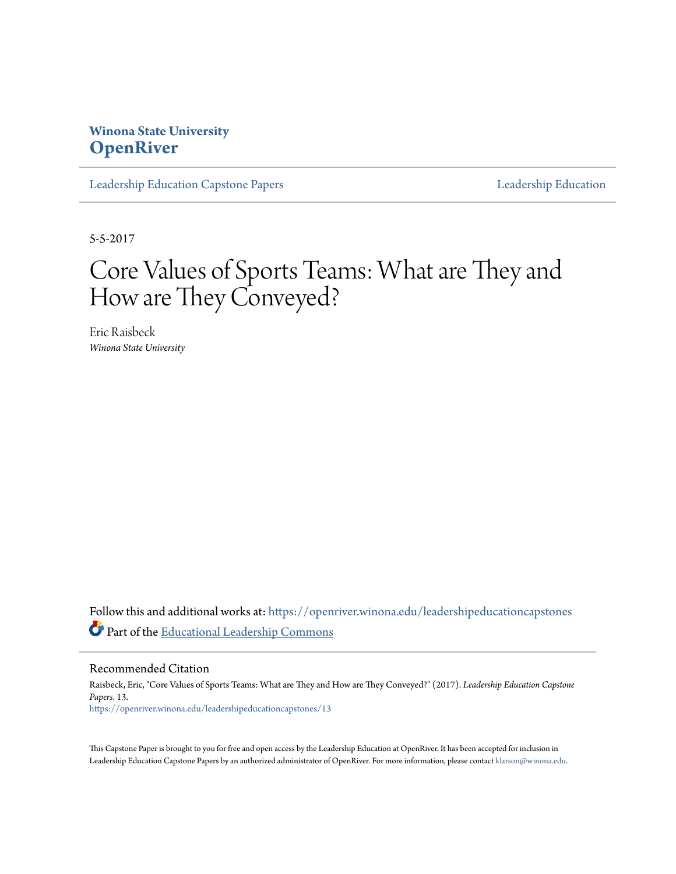## **Winona State University [OpenRiver](https://openriver.winona.edu?utm_source=openriver.winona.edu%2Fleadershipeducationcapstones%2F13&utm_medium=PDF&utm_campaign=PDFCoverPages)**

[Leadership Education Capstone Papers](https://openriver.winona.edu/leadershipeducationcapstones?utm_source=openriver.winona.edu%2Fleadershipeducationcapstones%2F13&utm_medium=PDF&utm_campaign=PDFCoverPages) [Leadership Education](https://openriver.winona.edu/leadershipeducation?utm_source=openriver.winona.edu%2Fleadershipeducationcapstones%2F13&utm_medium=PDF&utm_campaign=PDFCoverPages)

5-5-2017

# Core Values of Sports Teams: What are They and How are They Conveyed?

Eric Raisbeck *Winona State University*

Follow this and additional works at: [https://openriver.winona.edu/leadershipeducationcapstones](https://openriver.winona.edu/leadershipeducationcapstones?utm_source=openriver.winona.edu%2Fleadershipeducationcapstones%2F13&utm_medium=PDF&utm_campaign=PDFCoverPages) Part of the [Educational Leadership Commons](http://network.bepress.com/hgg/discipline/1230?utm_source=openriver.winona.edu%2Fleadershipeducationcapstones%2F13&utm_medium=PDF&utm_campaign=PDFCoverPages)

Recommended Citation

Raisbeck, Eric, "Core Values of Sports Teams: What are They and How are They Conveyed?" (2017). *Leadership Education Capstone Papers*. 13. [https://openriver.winona.edu/leadershipeducationcapstones/13](https://openriver.winona.edu/leadershipeducationcapstones/13?utm_source=openriver.winona.edu%2Fleadershipeducationcapstones%2F13&utm_medium=PDF&utm_campaign=PDFCoverPages)

This Capstone Paper is brought to you for free and open access by the Leadership Education at OpenRiver. It has been accepted for inclusion in Leadership Education Capstone Papers by an authorized administrator of OpenRiver. For more information, please contact [klarson@winona.edu.](mailto:klarson@winona.edu)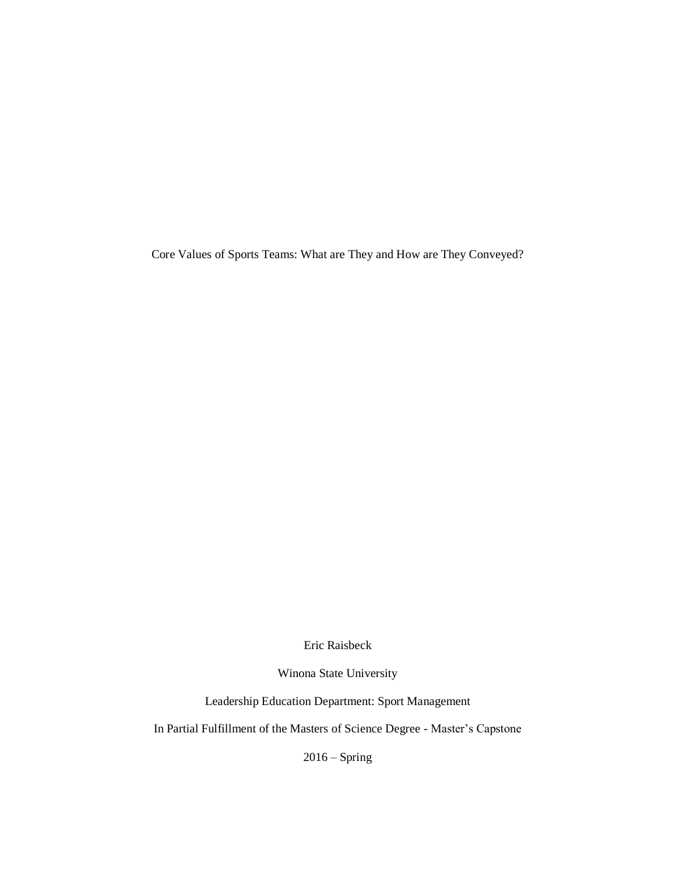Core Values of Sports Teams: What are They and How are They Conveyed?

Eric Raisbeck

Winona State University

Leadership Education Department: Sport Management

In Partial Fulfillment of the Masters of Science Degree - Master's Capstone

2016 – Spring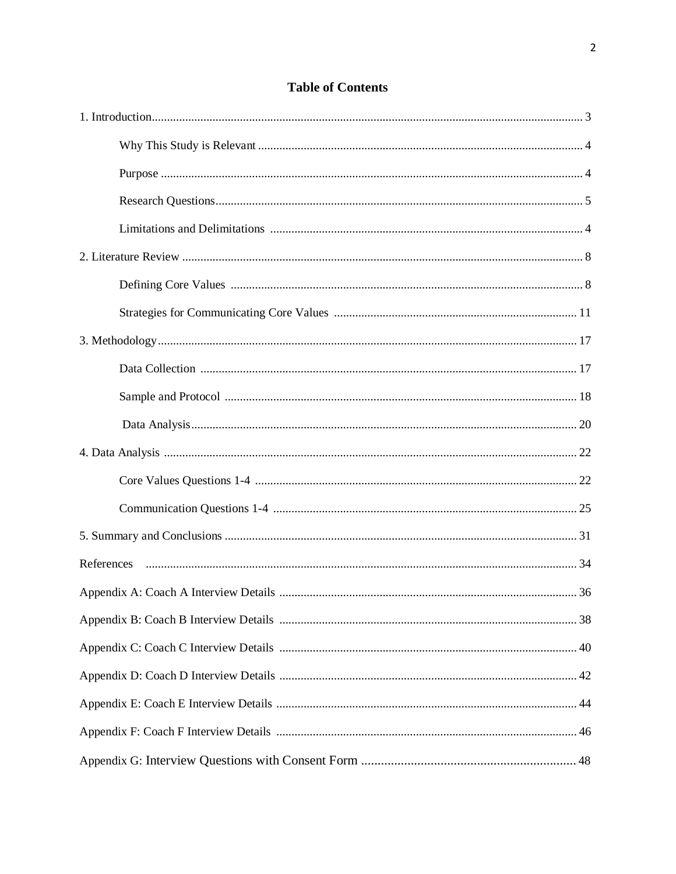## **Table of Contents**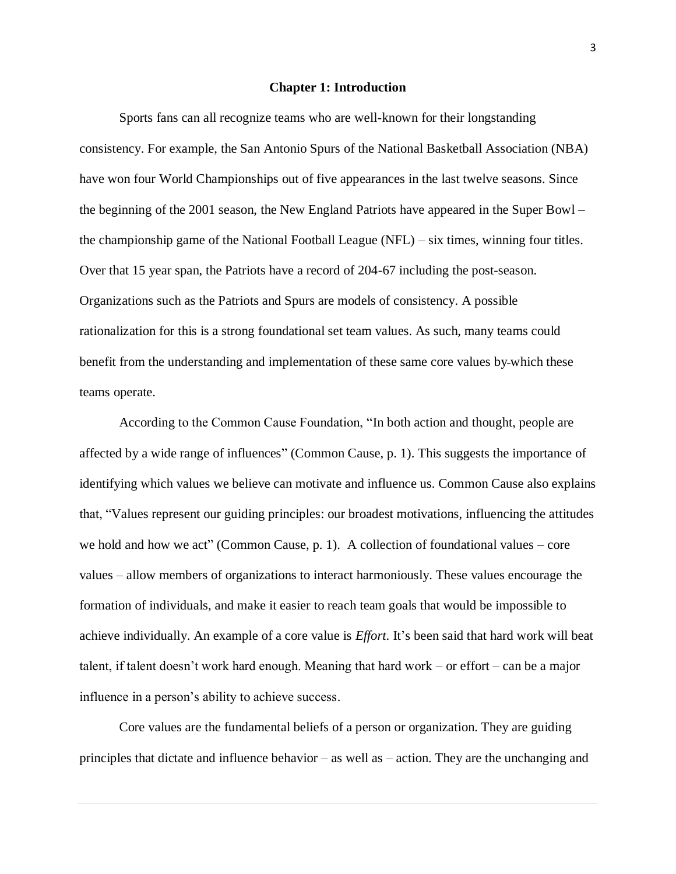#### **Chapter 1: Introduction**

Sports fans can all recognize teams who are well-known for their longstanding consistency. For example, the San Antonio Spurs of the National Basketball Association (NBA) have won four World Championships out of five appearances in the last twelve seasons. Since the beginning of the 2001 season, the New England Patriots have appeared in the Super Bowl – the championship game of the National Football League (NFL) – six times, winning four titles. Over that 15 year span, the Patriots have a record of 204-67 including the post-season. Organizations such as the Patriots and Spurs are models of consistency. A possible rationalization for this is a strong foundational set team values. As such, many teams could benefit from the understanding and implementation of these same core values by which these teams operate.

According to the Common Cause Foundation, "In both action and thought, people are affected by a wide range of influences" (Common Cause, p. 1). This suggests the importance of identifying which values we believe can motivate and influence us. Common Cause also explains that, "Values represent our guiding principles: our broadest motivations, influencing the attitudes we hold and how we act" (Common Cause, p. 1). A collection of foundational values – core values – allow members of organizations to interact harmoniously. These values encourage the formation of individuals, and make it easier to reach team goals that would be impossible to achieve individually. An example of a core value is *Effort*. It's been said that hard work will beat talent, if talent doesn't work hard enough. Meaning that hard work – or effort – can be a major influence in a person's ability to achieve success.

Core values are the fundamental beliefs of a person or organization. They are guiding principles that dictate and influence behavior – as well as – action. They are the unchanging and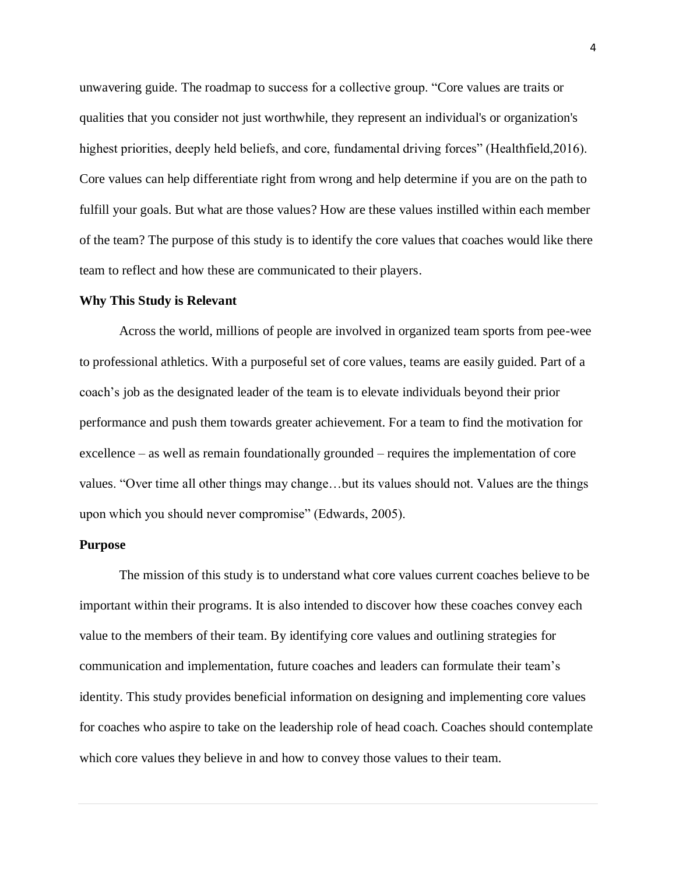unwavering guide. The roadmap to success for a collective group. "Core values are traits or qualities that you consider not just worthwhile, they represent an individual's or organization's highest priorities, deeply held beliefs, and core, fundamental driving forces" (Healthfield, 2016). Core values can help differentiate right from wrong and help determine if you are on the path to fulfill your goals. But what are those values? How are these values instilled within each member of the team? The purpose of this study is to identify the core values that coaches would like there team to reflect and how these are communicated to their players.

#### **Why This Study is Relevant**

Across the world, millions of people are involved in organized team sports from pee-wee to professional athletics. With a purposeful set of core values, teams are easily guided. Part of a coach's job as the designated leader of the team is to elevate individuals beyond their prior performance and push them towards greater achievement. For a team to find the motivation for excellence – as well as remain foundationally grounded – requires the implementation of core values. "Over time all other things may change…but its values should not. Values are the things upon which you should never compromise" (Edwards, 2005).

#### **Purpose**

The mission of this study is to understand what core values current coaches believe to be important within their programs. It is also intended to discover how these coaches convey each value to the members of their team. By identifying core values and outlining strategies for communication and implementation, future coaches and leaders can formulate their team's identity. This study provides beneficial information on designing and implementing core values for coaches who aspire to take on the leadership role of head coach. Coaches should contemplate which core values they believe in and how to convey those values to their team.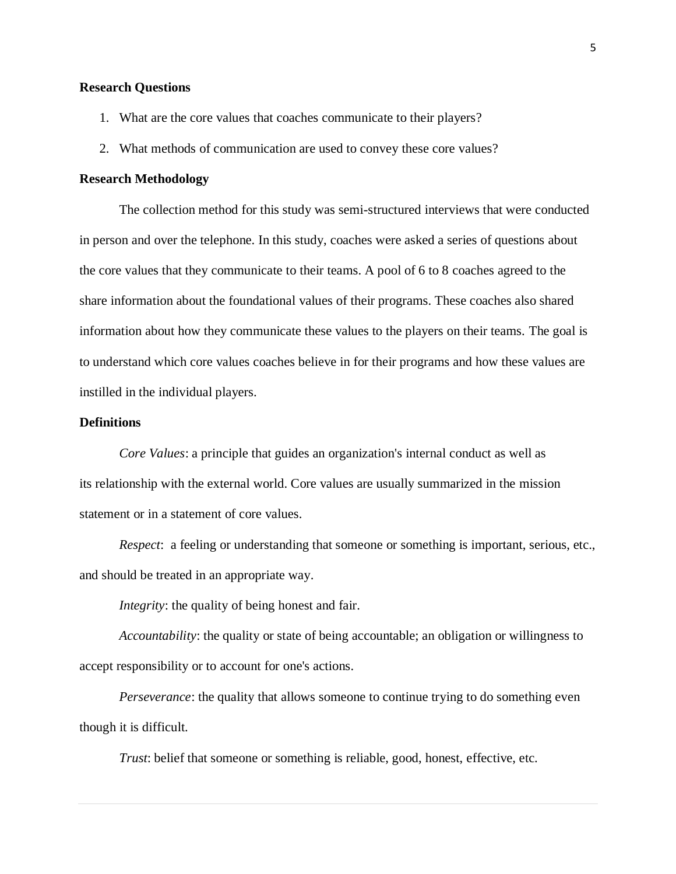## **Research Questions**

- 1. What are the core values that coaches communicate to their players?
- 2. What methods of communication are used to convey these core values?

### **Research Methodology**

The collection method for this study was semi-structured interviews that were conducted in person and over the telephone. In this study, coaches were asked a series of questions about the core values that they communicate to their teams. A pool of 6 to 8 coaches agreed to the share information about the foundational values of their programs. These coaches also shared information about how they communicate these values to the players on their teams. The goal is to understand which core values coaches believe in for their programs and how these values are instilled in the individual players.

#### **Definitions**

*Core Values*: a [principle](http://www.businessdictionary.com/definition/principle.html) that guides an [organization's](http://www.businessdictionary.com/definition/organization.html) internal [conduct](http://www.businessdictionary.com/definition/conduct.html) as well as its [relationship](http://www.businessdictionary.com/definition/relationship.html) with the external world. Core values are usually summarized in the [mission](http://www.businessdictionary.com/definition/mission-statement.html)  [statement](http://www.businessdictionary.com/definition/mission-statement.html) or in a [statement](http://www.businessdictionary.com/definition/statement.html) of core values.

*Respect*: a feeling or understanding that someone or something is important, serious, etc., and should be treated in an appropriate way.

*Integrity*: the quality of being honest and fair.

*Accountability*: the quality or state of being [accountable;](http://www.merriam-webster.com/dictionary/accountable) an obligation or willingness to accept responsibility or to [account](http://www.merriam-webster.com/dictionary/account) for one's actions.

*Perseverance*: the quality that allows someone to continue trying to do something even though it is difficult.

*Trust*: belief that someone or something is reliable, good, honest, effective, etc.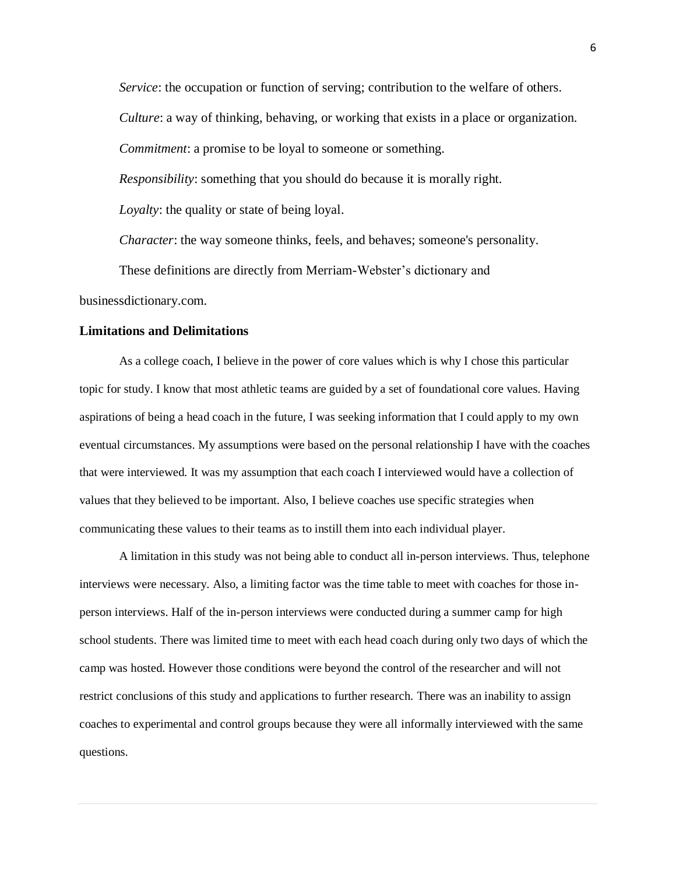*Service*: the occupation or function of [serving;](http://www.merriam-webster.com/dictionary/serving) contribution to the welfare of others. *Culture*: a way of thinking, behaving, or working that exists in a place or organization. *Commitment*: a promise to be loyal to someone or something. *Responsibility*: something that you should do because it is morally right. *Loyalty*: the quality or state of being loyal. *Character*: the way someone thinks, feels, and behaves; someone's personality.

These definitions are directly from Merriam-Webster's dictionary and

businessdictionary.com.

#### **Limitations and Delimitations**

As a college coach, I believe in the power of core values which is why I chose this particular topic for study. I know that most athletic teams are guided by a set of foundational core values. Having aspirations of being a head coach in the future, I was seeking information that I could apply to my own eventual circumstances. My assumptions were based on the personal relationship I have with the coaches that were interviewed. It was my assumption that each coach I interviewed would have a collection of values that they believed to be important. Also, I believe coaches use specific strategies when communicating these values to their teams as to instill them into each individual player.

A limitation in this study was not being able to conduct all in-person interviews. Thus, telephone interviews were necessary. Also, a limiting factor was the time table to meet with coaches for those inperson interviews. Half of the in-person interviews were conducted during a summer camp for high school students. There was limited time to meet with each head coach during only two days of which the camp was hosted. However those conditions were beyond the control of the researcher and will not restrict conclusions of this study and applications to further research. There was an inability to assign coaches to experimental and control groups because they were all informally interviewed with the same questions.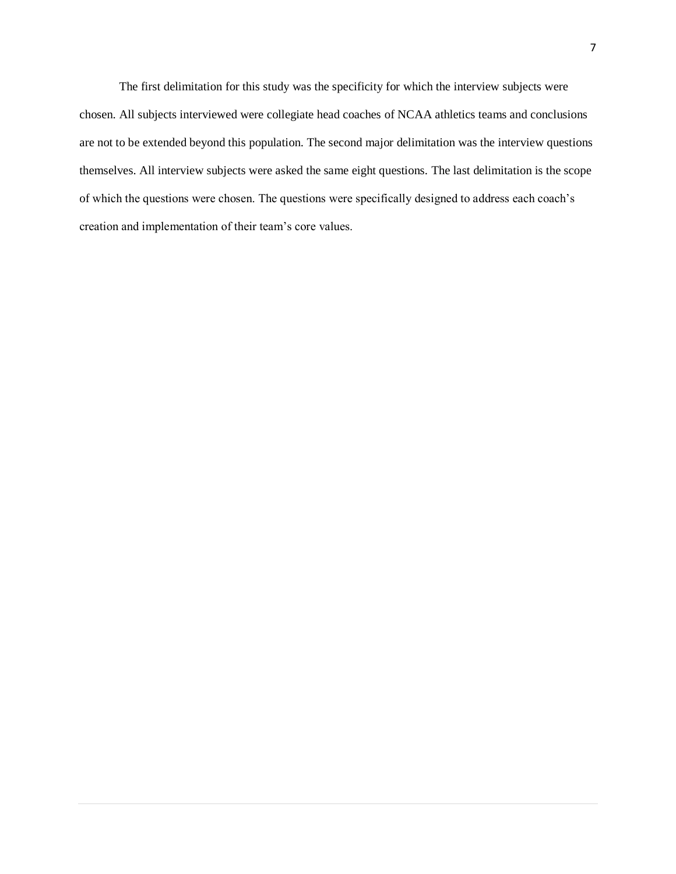The first delimitation for this study was the specificity for which the interview subjects were chosen. All subjects interviewed were collegiate head coaches of NCAA athletics teams and conclusions are not to be extended beyond this population. The second major delimitation was the interview questions themselves. All interview subjects were asked the same eight questions. The last delimitation is the scope of which the questions were chosen. The questions were specifically designed to address each coach's creation and implementation of their team's core values.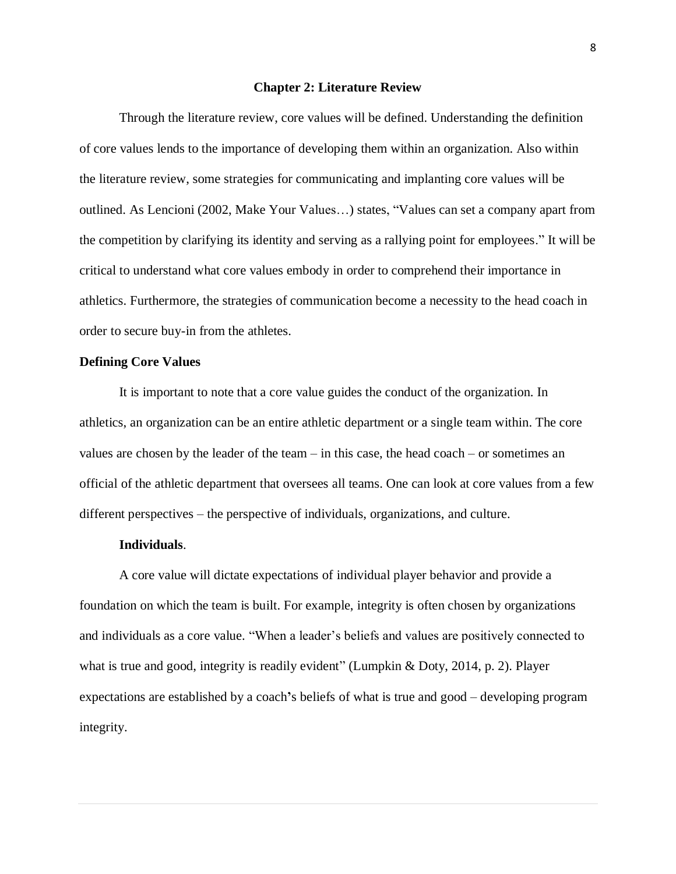#### **Chapter 2: Literature Review**

Through the literature review, core values will be defined. Understanding the definition of core values lends to the importance of developing them within an organization. Also within the literature review, some strategies for communicating and implanting core values will be outlined. As Lencioni (2002, Make Your Values…) states, "Values can set a company apart from the competition by clarifying its identity and serving as a rallying point for employees." It will be critical to understand what core values embody in order to comprehend their importance in athletics. Furthermore, the strategies of communication become a necessity to the head coach in order to secure buy-in from the athletes.

#### **Defining Core Values**

It is important to note that a core value guides the conduct of the organization. In athletics, an organization can be an entire athletic department or a single team within. The core values are chosen by the leader of the team – in this case, the head coach – or sometimes an official of the athletic department that oversees all teams. One can look at core values from a few different perspectives – the perspective of individuals, organizations, and culture.

#### **Individuals**.

A core value will dictate expectations of individual player behavior and provide a foundation on which the team is built. For example, integrity is often chosen by organizations and individuals as a core value. "When a leader's beliefs and values are positively connected to what is true and good, integrity is readily evident" (Lumpkin & Doty, 2014, p. 2). Player expectations are established by a coach**'**s beliefs of what is true and good – developing program integrity.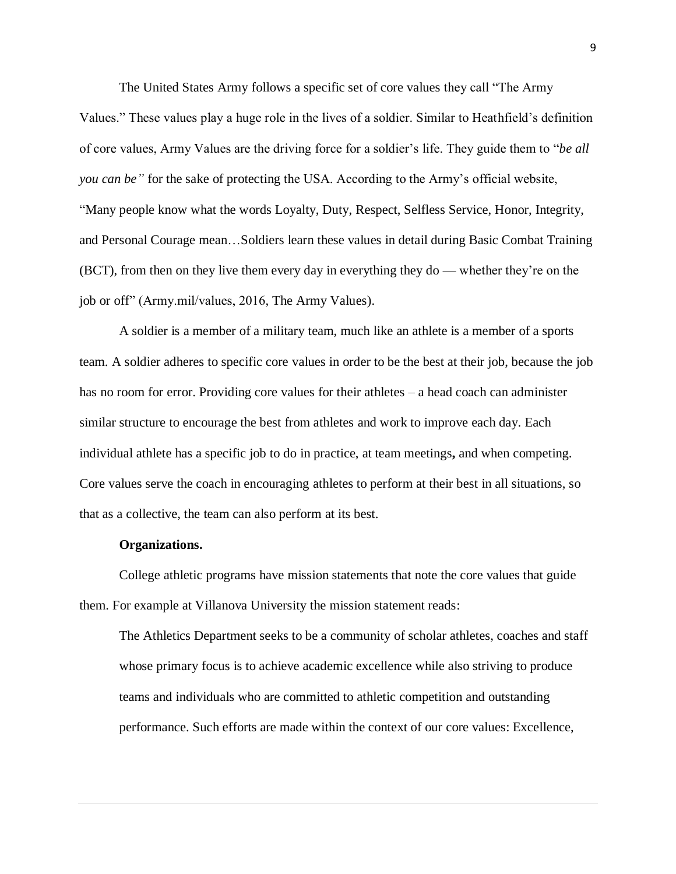The United States Army follows a specific set of core values they call "The Army Values." These values play a huge role in the lives of a soldier. Similar to Heathfield's definition of core values, Army Values are the driving force for a soldier's life. They guide them to "*be all you can be"* for the sake of protecting the USA. According to the Army's official website, "Many people know what the words Loyalty, Duty, Respect, Selfless Service, Honor, Integrity, and Personal Courage mean…Soldiers learn these values in detail during Basic Combat Training (BCT), from then on they live them every day in everything they do — whether they're on the job or off" (Army.mil/values, 2016, The Army Values).

A soldier is a member of a military team, much like an athlete is a member of a sports team. A soldier adheres to specific core values in order to be the best at their job, because the job has no room for error. Providing core values for their athletes – a head coach can administer similar structure to encourage the best from athletes and work to improve each day. Each individual athlete has a specific job to do in practice, at team meetings**,** and when competing. Core values serve the coach in encouraging athletes to perform at their best in all situations, so that as a collective, the team can also perform at its best.

#### **Organizations.**

College athletic programs have mission statements that note the core values that guide them. For example at Villanova University the mission statement reads:

The Athletics Department seeks to be a community of scholar athletes, coaches and staff whose primary focus is to achieve academic excellence while also striving to produce teams and individuals who are committed to athletic competition and outstanding performance. Such efforts are made within the context of our core values: Excellence,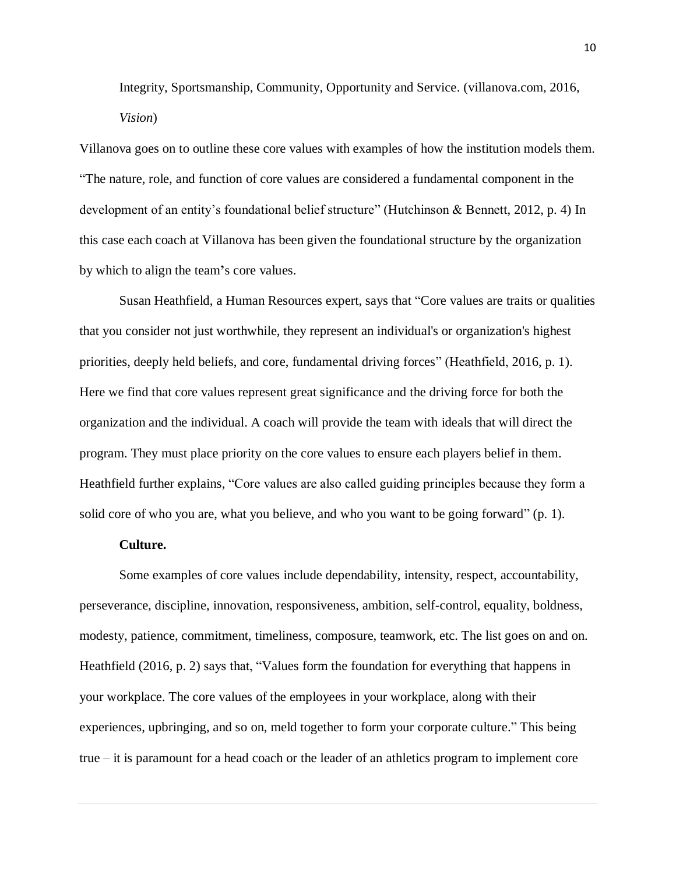Integrity, Sportsmanship, Community, Opportunity and Service. (villanova.com, 2016, *Vision*)

Villanova goes on to outline these core values with examples of how the institution models them. "The nature, role, and function of core values are considered a fundamental component in the development of an entity's foundational belief structure" (Hutchinson & Bennett, 2012, p. 4) In this case each coach at Villanova has been given the foundational structure by the organization by which to align the team**'**s core values.

Susan Heathfield, a Human Resources expert, says that "Core values are traits or qualities that you consider not just worthwhile, they represent an individual's or organization's highest priorities, deeply held beliefs, and core, fundamental driving forces" (Heathfield, 2016, p. 1). Here we find that core values represent great significance and the driving force for both the organization and the individual. A coach will provide the team with ideals that will direct the program. They must place priority on the core values to ensure each players belief in them. Heathfield further explains, "Core values are also called guiding principles because they form a solid core of who you are, what you believe, and who you want to be going forward" (p. 1).

### **Culture.**

Some examples of core values include dependability, intensity, respect, accountability, perseverance, discipline, innovation, responsiveness, ambition, self-control, equality, boldness, modesty, patience, commitment, timeliness, composure, teamwork, etc. The list goes on and on. Heathfield (2016, p. 2) says that, "Values [form the foundation for everything](http://humanresources.about.com/od/strategicplanning1/a/organizvalues.htm) that happens in your workplace. The core values of the employees in your workplace, along with their experiences, upbringing, and so on, meld together to form your [corporate culture.](http://humanresources.about.com/od/organizationalculture/a/culture.htm)" This being true – it is paramount for a head coach or the leader of an athletics program to implement core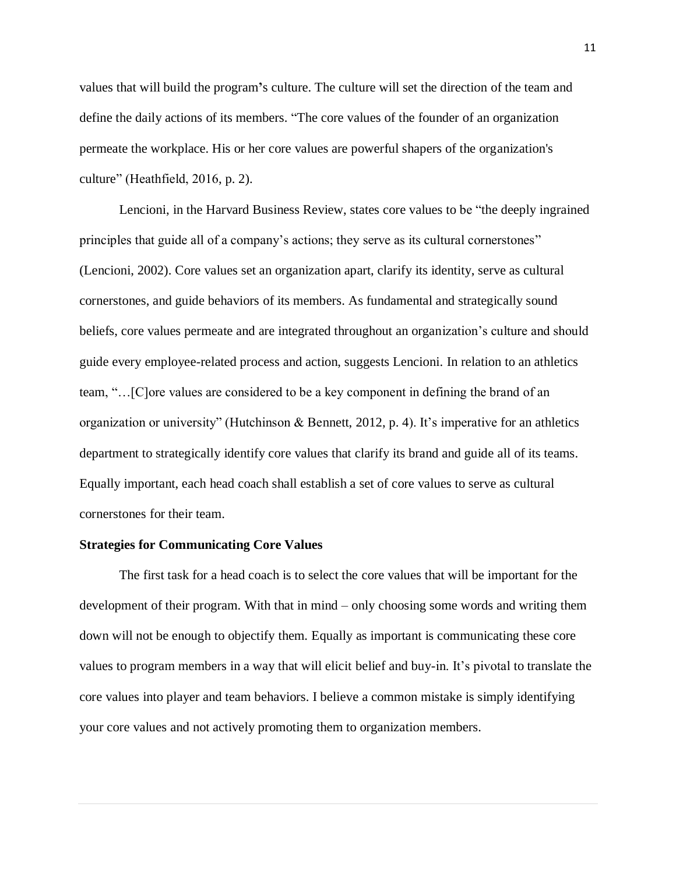values that will build the program**'**s culture. The culture will set the direction of the team and define the daily actions of its members. "The core values of the founder of an organization permeate the workplace. His or her core values are powerful shapers of the organization's culture" (Heathfield, 2016, p. 2).

Lencioni, in the Harvard Business Review, states core values to be "the deeply ingrained principles that guide all of a company's actions; they serve as its cultural cornerstones" (Lencioni, 2002). Core values set an organization apart, clarify its identity, serve as cultural cornerstones, and guide behaviors of its members. As fundamental and strategically sound beliefs, core values permeate and are integrated throughout an organization's culture and should guide every employee-related process and action, suggests Lencioni. In relation to an athletics team, "…[C]ore values are considered to be a key component in defining the brand of an organization or university" (Hutchinson & Bennett, 2012, p. 4). It's imperative for an athletics department to strategically identify core values that clarify its brand and guide all of its teams. Equally important, each head coach shall establish a set of core values to serve as cultural cornerstones for their team.

#### **Strategies for Communicating Core Values**

The first task for a head coach is to select the core values that will be important for the development of their program. With that in mind – only choosing some words and writing them down will not be enough to objectify them. Equally as important is communicating these core values to program members in a way that will elicit belief and buy-in. It's pivotal to translate the core values into player and team behaviors. I believe a common mistake is simply identifying your core values and not actively promoting them to organization members.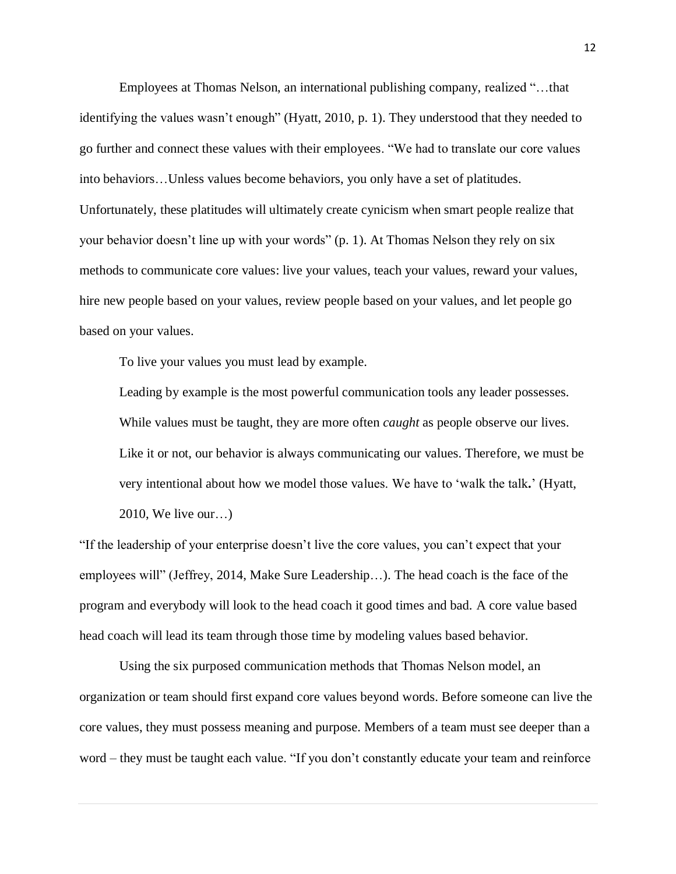Employees at Thomas Nelson, an international publishing company, realized "…that identifying the values wasn't enough" (Hyatt, 2010, p. 1). They understood that they needed to go further and connect these values with their employees. "We had to translate our core values into behaviors…Unless values become behaviors, you only have a set of platitudes. Unfortunately, these platitudes will ultimately create cynicism when smart people realize that your behavior doesn't line up with your words" (p. 1). At Thomas Nelson they rely on six methods to communicate core values: live your values, teach your values, reward your values, hire new people based on your values, review people based on your values, and let people go based on your values.

To live your values you must lead by example.

Leading by example is the most powerful communication tools any leader possesses. While values must be taught, they are more often *caught* as people observe our lives. Like it or not, our behavior is always communicating our values. Therefore, we must be very intentional about how we model those values. We have to 'walk the talk**.**' (Hyatt, 2010, We live our…)

"If the leadership of your enterprise doesn't live the core values, you can't expect that your employees will" (Jeffrey, 2014, Make Sure Leadership…). The head coach is the face of the program and everybody will look to the head coach it good times and bad. A core value based head coach will lead its team through those time by modeling values based behavior.

Using the six purposed communication methods that Thomas Nelson model, an organization or team should first expand core values beyond words. Before someone can live the core values, they must possess meaning and purpose. Members of a team must see deeper than a word – they must be taught each value. "If you don't constantly educate your team and reinforce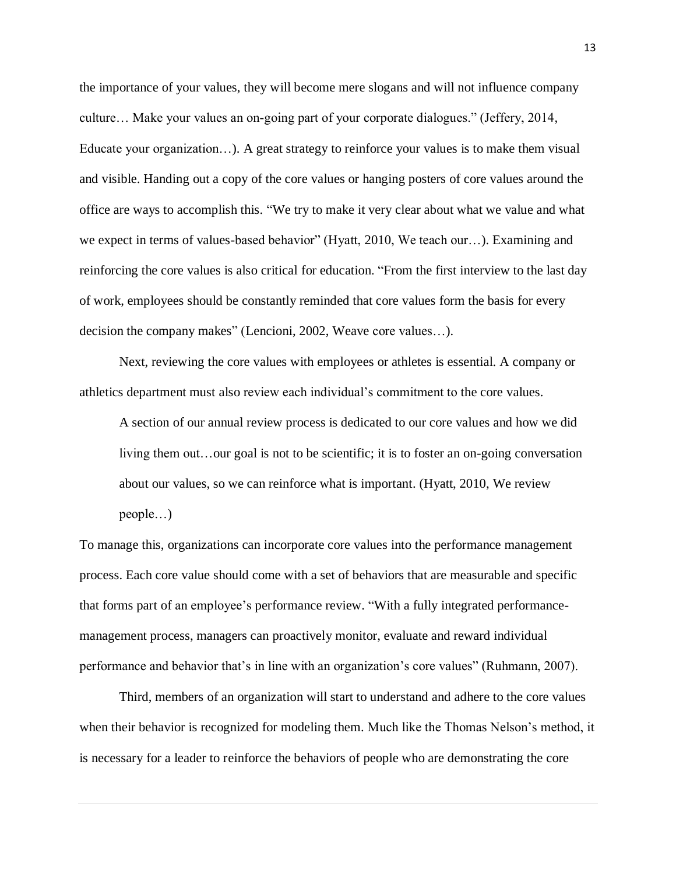the importance of your values, they will become mere slogans and will not influence company culture… Make your values an on-going part of your corporate dialogues." (Jeffery, 2014, Educate your organization…). A great strategy to reinforce your values is to make them visual and visible. Handing out a copy of the core values or hanging posters of core values around the office are ways to accomplish this. "We try to make it very clear about what we value and what we expect in terms of values-based behavior" (Hyatt, 2010, We teach our…). Examining and reinforcing the core values is also critical for education. "From the first interview to the last day of work, employees should be constantly reminded that core values form the basis for every decision the company makes" (Lencioni, 2002, Weave core values…).

Next, reviewing the core values with employees or athletes is essential. A company or athletics department must also review each individual's commitment to the core values.

A section of our annual review process is dedicated to our core values and how we did living them out…our goal is not to be scientific; it is to foster an on-going conversation about our values, so we can reinforce what is important. (Hyatt, 2010, We review people…)

To manage this, organizations can incorporate core values into the performance management process. Each core value should come with a set of behaviors that are measurable and specific that forms part of an employee's performance review. "With a fully integrated performancemanagement process, managers can proactively monitor, evaluate and reward individual performance and behavior that's in line with an organization's core values" (Ruhmann, 2007).

Third, members of an organization will start to understand and adhere to the core values when their behavior is recognized for modeling them. Much like the Thomas Nelson's method, it is necessary for a leader to reinforce the behaviors of people who are demonstrating the core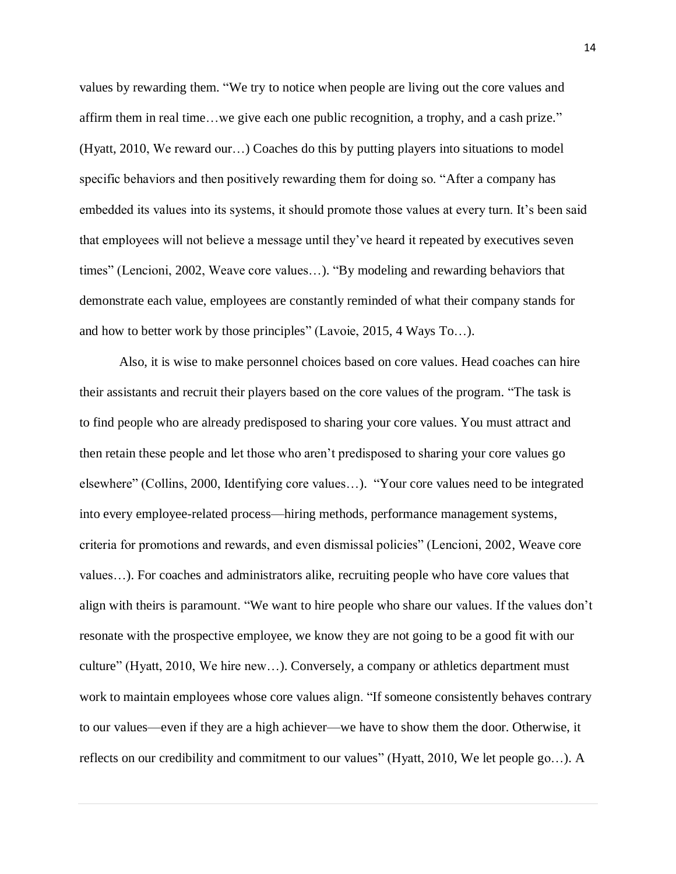values by rewarding them. "We try to notice when people are living out the core values and affirm them in real time…we give each one public recognition, a trophy, and a cash prize." (Hyatt, 2010, We reward our…) Coaches do this by putting players into situations to model specific behaviors and then positively rewarding them for doing so. "After a company has embedded its values into its systems, it should promote those values at every turn. It's been said that employees will not believe a message until they've heard it repeated by executives seven times" (Lencioni, 2002, Weave core values…). "By modeling and rewarding behaviors that demonstrate each value, employees are constantly reminded of what their company stands for and how to better work by those principles" (Lavoie, 2015, 4 Ways To…).

Also, it is wise to make personnel choices based on core values. Head coaches can hire their assistants and recruit their players based on the core values of the program. "The task is to find people who are already predisposed to sharing your core values. You must attract and then retain these people and let those who aren't predisposed to sharing your core values go elsewhere" (Collins, 2000, Identifying core values…). "Your core values need to be integrated into every employee-related process—hiring methods, performance management systems, criteria for promotions and rewards, and even dismissal policies" (Lencioni, 2002, Weave core values…). For coaches and administrators alike, recruiting people who have core values that align with theirs is paramount. "We want to hire people who share our values. If the values don't resonate with the prospective employee, we know they are not going to be a good fit with our culture" (Hyatt, 2010, We hire new…). Conversely, a company or athletics department must work to maintain employees whose core values align. "If someone consistently behaves contrary to our values—even if they are a high achiever—we have to show them the door. Otherwise, it reflects on our credibility and commitment to our values" (Hyatt, 2010, We let people go…). A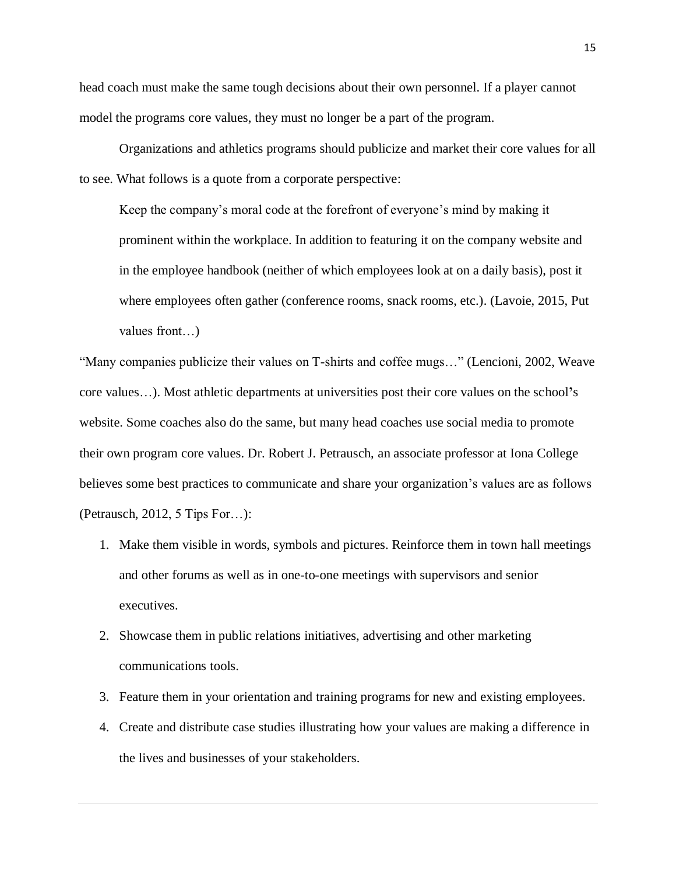head coach must make the same tough decisions about their own personnel. If a player cannot model the programs core values, they must no longer be a part of the program.

Organizations and athletics programs should publicize and market their core values for all to see. What follows is a quote from a corporate perspective:

Keep the company's moral code at the forefront of everyone's mind by making it prominent within the workplace. In addition to featuring it on the company website and in the employee handbook (neither of which employees look at on a daily basis), post it where employees often gather (conference rooms, snack rooms, etc.). (Lavoie, 2015, Put values front…)

"Many companies publicize their values on T-shirts and coffee mugs…" (Lencioni, 2002, Weave core values…). Most athletic departments at universities post their core values on the school**'**s website. Some coaches also do the same, but many head coaches use social media to promote their own program core values. Dr. Robert J. Petrausch, an associate professor at Iona College believes some best practices to communicate and share your organization's values are as follows (Petrausch, 2012, 5 Tips For…):

- 1. Make them visible in words, symbols and pictures. Reinforce them in town hall meetings and other forums as well as in one-to-one meetings with supervisors and senior executives.
- 2. Showcase them in public relations initiatives, advertising and other marketing communications tools.
- 3. Feature them in your orientation and training programs for new and existing employees.
- 4. Create and distribute case studies illustrating how your values are making a difference in the lives and businesses of your stakeholders.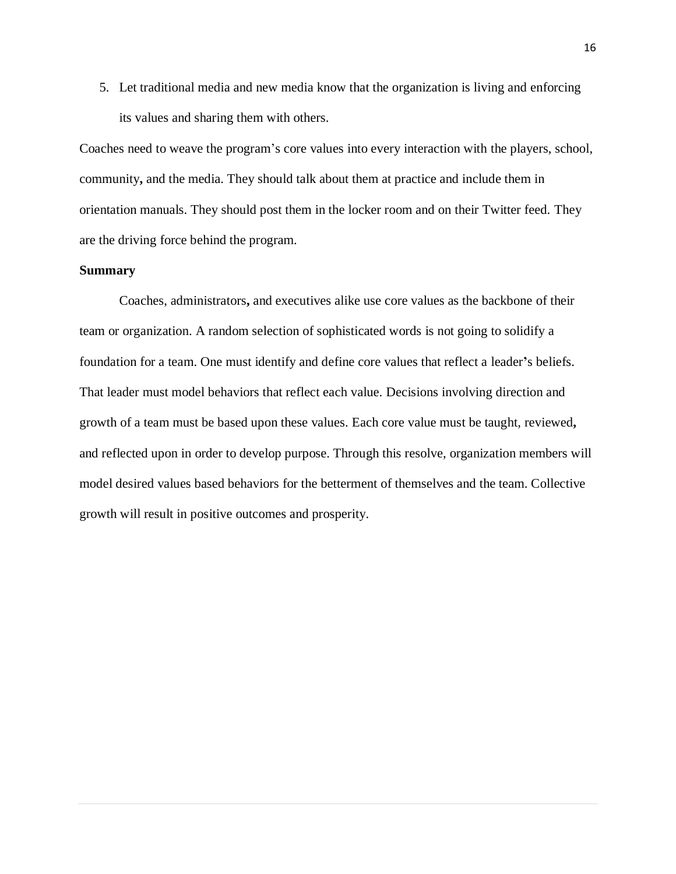5. Let traditional media and new media know that the organization is living and enforcing its values and sharing them with others.

Coaches need to weave the program's core values into every interaction with the players, school, community**,** and the media. They should talk about them at practice and include them in orientation manuals. They should post them in the locker room and on their Twitter feed. They are the driving force behind the program.

### **Summary**

Coaches, administrators**,** and executives alike use core values as the backbone of their team or organization. A random selection of sophisticated words is not going to solidify a foundation for a team. One must identify and define core values that reflect a leader**'**s beliefs. That leader must model behaviors that reflect each value. Decisions involving direction and growth of a team must be based upon these values. Each core value must be taught, reviewed**,** and reflected upon in order to develop purpose. Through this resolve, organization members will model desired values based behaviors for the betterment of themselves and the team. Collective growth will result in positive outcomes and prosperity.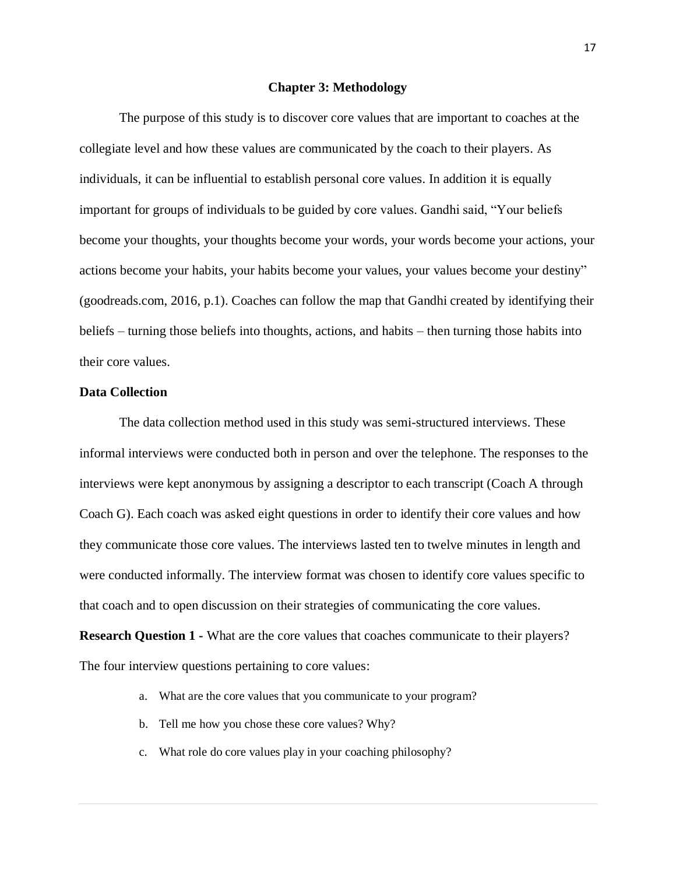#### **Chapter 3: Methodology**

The purpose of this study is to discover core values that are important to coaches at the collegiate level and how these values are communicated by the coach to their players. As individuals, it can be influential to establish personal core values. In addition it is equally important for groups of individuals to be guided by core values. Gandhi said, "Your beliefs become your thoughts, your thoughts become your words, your words become your actions, your actions become your habits, your habits become your values, your values become your destiny" (goodreads.com, 2016, p.1). Coaches can follow the map that Gandhi created by identifying their beliefs – turning those beliefs into thoughts, actions, and habits – then turning those habits into their core values.

## **Data Collection**

The data collection method used in this study was semi-structured interviews. These informal interviews were conducted both in person and over the telephone. The responses to the interviews were kept anonymous by assigning a descriptor to each transcript (Coach A through Coach G). Each coach was asked eight questions in order to identify their core values and how they communicate those core values. The interviews lasted ten to twelve minutes in length and were conducted informally. The interview format was chosen to identify core values specific to that coach and to open discussion on their strategies of communicating the core values.

**Research Question 1 -** What are the core values that coaches communicate to their players? The four interview questions pertaining to core values:

- a. What are the core values that you communicate to your program?
- b. Tell me how you chose these core values? Why?
- c. What role do core values play in your coaching philosophy?

17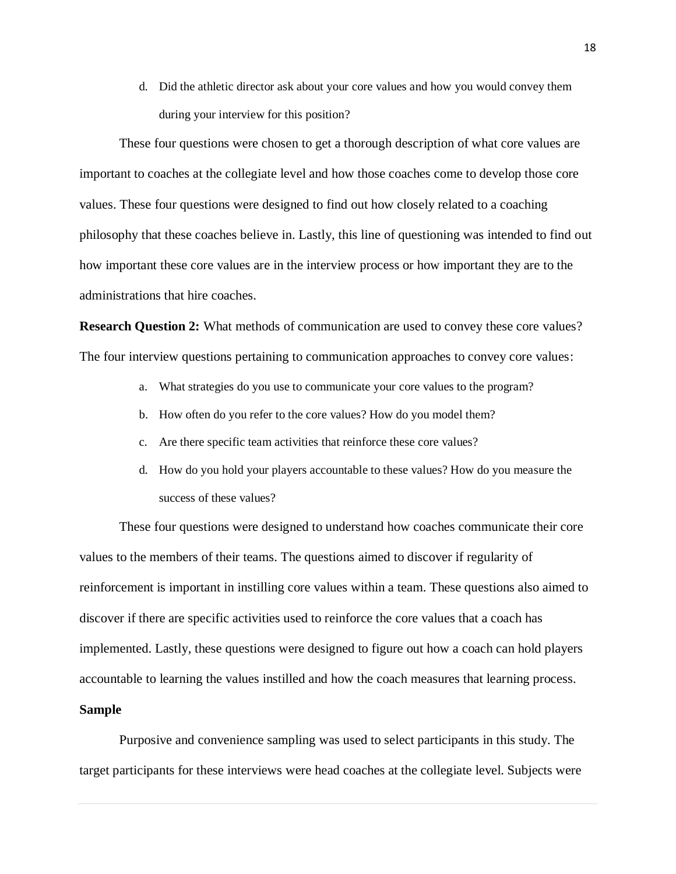d. Did the athletic director ask about your core values and how you would convey them during your interview for this position?

These four questions were chosen to get a thorough description of what core values are important to coaches at the collegiate level and how those coaches come to develop those core values. These four questions were designed to find out how closely related to a coaching philosophy that these coaches believe in. Lastly, this line of questioning was intended to find out how important these core values are in the interview process or how important they are to the administrations that hire coaches.

**Research Question 2:** What methods of communication are used to convey these core values? The four interview questions pertaining to communication approaches to convey core values:

- a. What strategies do you use to communicate your core values to the program?
- b. How often do you refer to the core values? How do you model them?
- c. Are there specific team activities that reinforce these core values?
- d. How do you hold your players accountable to these values? How do you measure the success of these values?

These four questions were designed to understand how coaches communicate their core values to the members of their teams. The questions aimed to discover if regularity of reinforcement is important in instilling core values within a team. These questions also aimed to discover if there are specific activities used to reinforce the core values that a coach has implemented. Lastly, these questions were designed to figure out how a coach can hold players accountable to learning the values instilled and how the coach measures that learning process.

## **Sample**

Purposive and convenience sampling was used to select participants in this study. The target participants for these interviews were head coaches at the collegiate level. Subjects were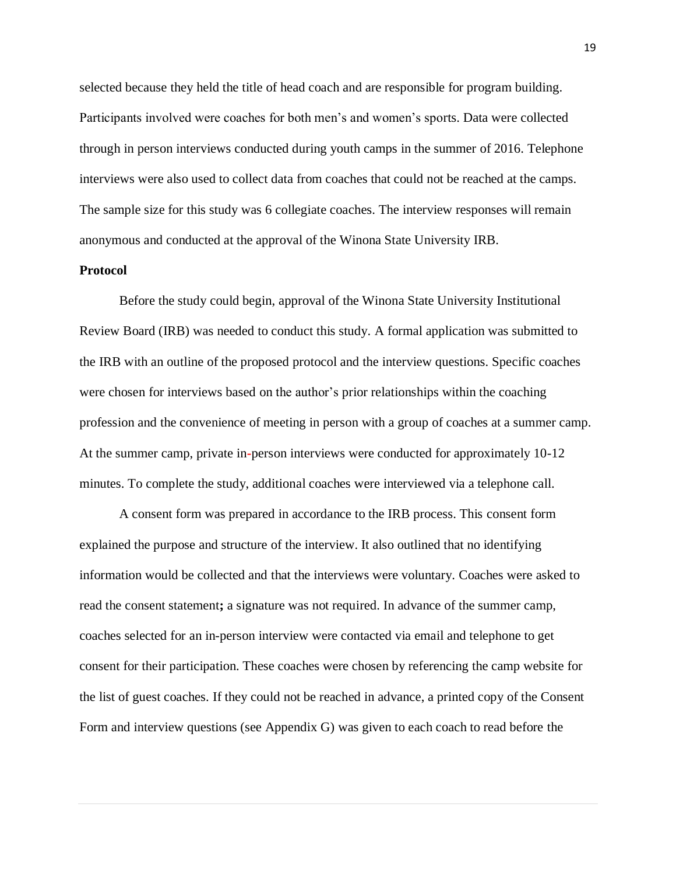selected because they held the title of head coach and are responsible for program building. Participants involved were coaches for both men's and women's sports. Data were collected through in person interviews conducted during youth camps in the summer of 2016. Telephone interviews were also used to collect data from coaches that could not be reached at the camps. The sample size for this study was 6 collegiate coaches. The interview responses will remain anonymous and conducted at the approval of the Winona State University IRB.

## **Protocol**

Before the study could begin, approval of the Winona State University Institutional Review Board (IRB) was needed to conduct this study. A formal application was submitted to the IRB with an outline of the proposed protocol and the interview questions. Specific coaches were chosen for interviews based on the author's prior relationships within the coaching profession and the convenience of meeting in person with a group of coaches at a summer camp. At the summer camp, private in**-**person interviews were conducted for approximately 10-12 minutes. To complete the study, additional coaches were interviewed via a telephone call.

A consent form was prepared in accordance to the IRB process. This consent form explained the purpose and structure of the interview. It also outlined that no identifying information would be collected and that the interviews were voluntary. Coaches were asked to read the consent statement**;** a signature was not required. In advance of the summer camp, coaches selected for an in-person interview were contacted via email and telephone to get consent for their participation. These coaches were chosen by referencing the camp website for the list of guest coaches. If they could not be reached in advance, a printed copy of the Consent Form and interview questions (see Appendix G) was given to each coach to read before the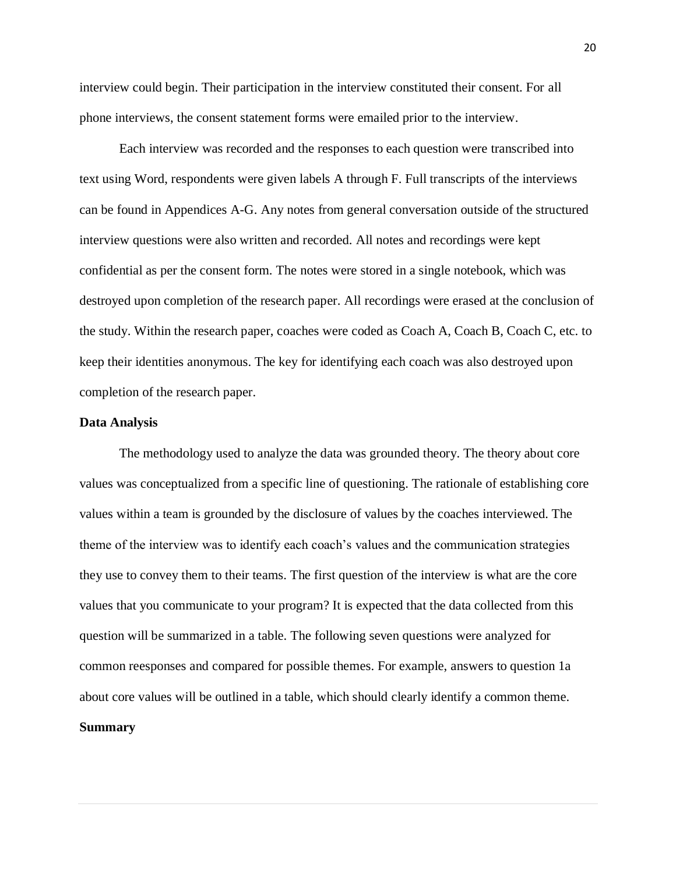interview could begin. Their participation in the interview constituted their consent. For all phone interviews, the consent statement forms were emailed prior to the interview.

Each interview was recorded and the responses to each question were transcribed into text using Word, respondents were given labels A through F. Full transcripts of the interviews can be found in Appendices A-G. Any notes from general conversation outside of the structured interview questions were also written and recorded. All notes and recordings were kept confidential as per the consent form. The notes were stored in a single notebook, which was destroyed upon completion of the research paper. All recordings were erased at the conclusion of the study. Within the research paper, coaches were coded as Coach A, Coach B, Coach C, etc. to keep their identities anonymous. The key for identifying each coach was also destroyed upon completion of the research paper.

#### **Data Analysis**

The methodology used to analyze the data was grounded theory. The theory about core values was conceptualized from a specific line of questioning. The rationale of establishing core values within a team is grounded by the disclosure of values by the coaches interviewed. The theme of the interview was to identify each coach's values and the communication strategies they use to convey them to their teams. The first question of the interview is what are the core values that you communicate to your program? It is expected that the data collected from this question will be summarized in a table. The following seven questions were analyzed for common reesponses and compared for possible themes. For example, answers to question 1a about core values will be outlined in a table, which should clearly identify a common theme. **Summary**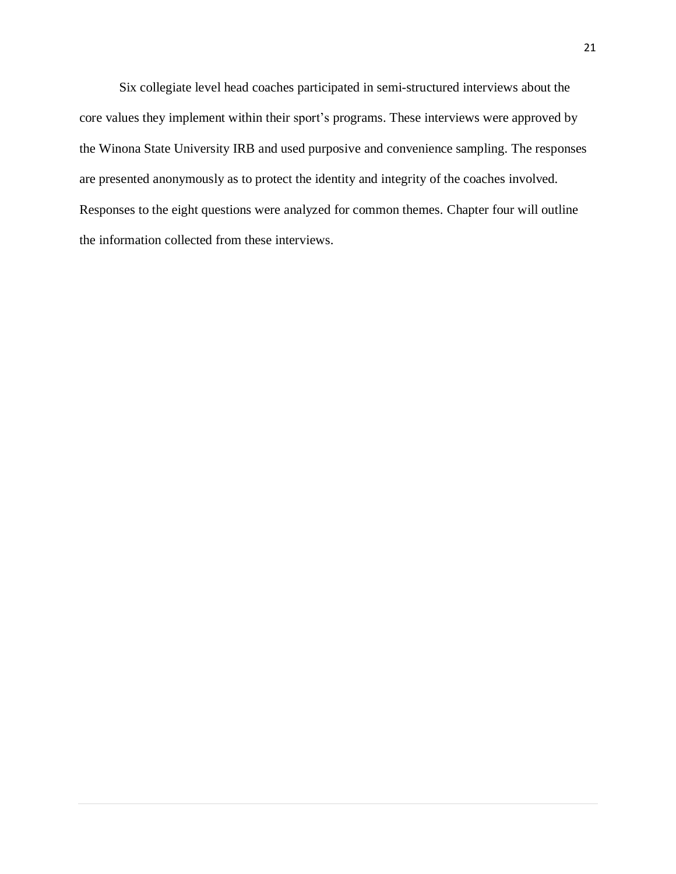Six collegiate level head coaches participated in semi-structured interviews about the core values they implement within their sport's programs. These interviews were approved by the Winona State University IRB and used purposive and convenience sampling. The responses are presented anonymously as to protect the identity and integrity of the coaches involved. Responses to the eight questions were analyzed for common themes. Chapter four will outline the information collected from these interviews.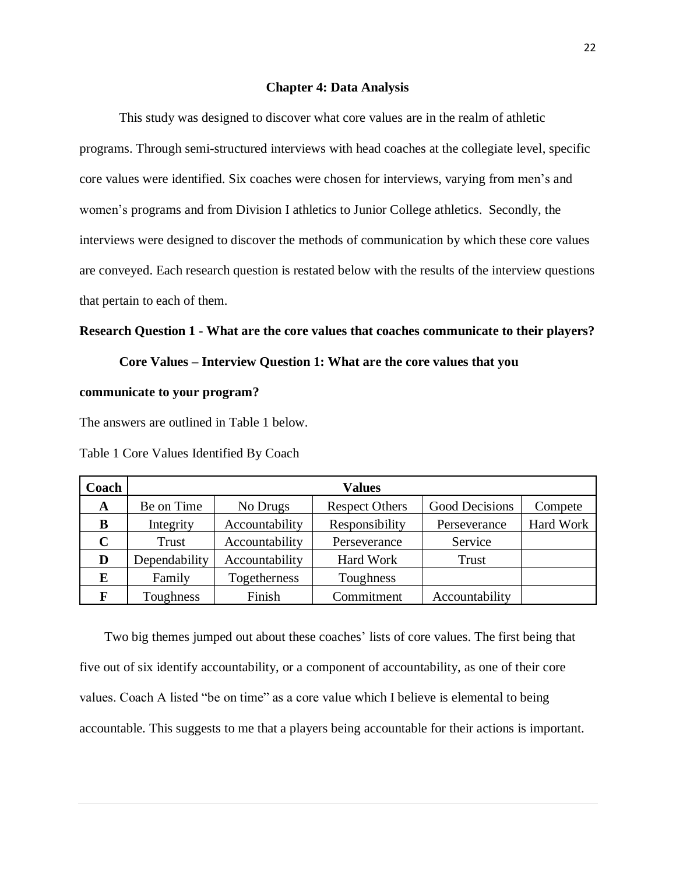#### **Chapter 4: Data Analysis**

This study was designed to discover what core values are in the realm of athletic programs. Through semi-structured interviews with head coaches at the collegiate level, specific core values were identified. Six coaches were chosen for interviews, varying from men's and women's programs and from Division I athletics to Junior College athletics. Secondly, the interviews were designed to discover the methods of communication by which these core values are conveyed. Each research question is restated below with the results of the interview questions that pertain to each of them.

## **Research Question 1 - What are the core values that coaches communicate to their players?**

## **Core Values – Interview Question 1: What are the core values that you**

#### **communicate to your program?**

The answers are outlined in Table 1 below.

| Coach       | <b>Values</b> |                |                       |                |           |
|-------------|---------------|----------------|-----------------------|----------------|-----------|
| A           | Be on Time    | No Drugs       | <b>Respect Others</b> | Good Decisions | Compete   |
| B           | Integrity     | Accountability | Responsibility        | Perseverance   | Hard Work |
| $\mathbf C$ | Trust         | Accountability | Perseverance          | Service        |           |
| D           | Dependability | Accountability | Hard Work             | <b>Trust</b>   |           |
| E           | Family        | Togetherness   | Toughness             |                |           |
| F           | Toughness     | Finish         | Commitment            | Accountability |           |

Table 1 Core Values Identified By Coach

Two big themes jumped out about these coaches' lists of core values. The first being that five out of six identify accountability, or a component of accountability, as one of their core values. Coach A listed "be on time" as a core value which I believe is elemental to being accountable. This suggests to me that a players being accountable for their actions is important.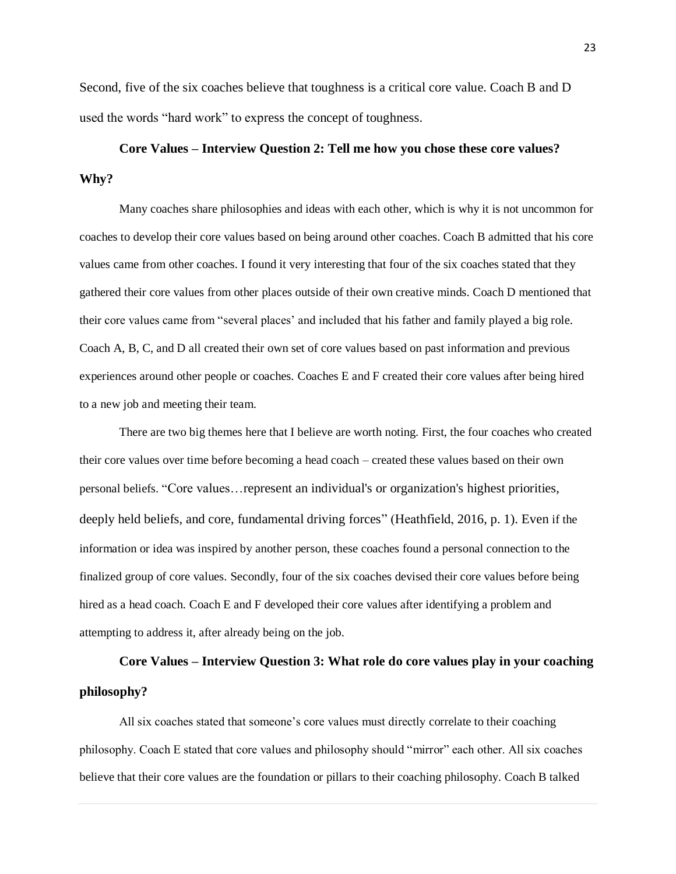Second, five of the six coaches believe that toughness is a critical core value. Coach B and D used the words "hard work" to express the concept of toughness.

## **Core Values – Interview Question 2: Tell me how you chose these core values? Why?**

Many coaches share philosophies and ideas with each other, which is why it is not uncommon for coaches to develop their core values based on being around other coaches. Coach B admitted that his core values came from other coaches. I found it very interesting that four of the six coaches stated that they gathered their core values from other places outside of their own creative minds. Coach D mentioned that their core values came from "several places' and included that his father and family played a big role. Coach A, B, C, and D all created their own set of core values based on past information and previous experiences around other people or coaches. Coaches E and F created their core values after being hired to a new job and meeting their team.

There are two big themes here that I believe are worth noting. First, the four coaches who created their core values over time before becoming a head coach – created these values based on their own personal beliefs. "Core values…represent an individual's or organization's highest priorities, deeply held beliefs, and core, fundamental driving forces" (Heathfield, 2016, p. 1). Even if the information or idea was inspired by another person, these coaches found a personal connection to the finalized group of core values. Secondly, four of the six coaches devised their core values before being hired as a head coach. Coach E and F developed their core values after identifying a problem and attempting to address it, after already being on the job.

## **Core Values – Interview Question 3: What role do core values play in your coaching philosophy?**

All six coaches stated that someone's core values must directly correlate to their coaching philosophy. Coach E stated that core values and philosophy should "mirror" each other. All six coaches believe that their core values are the foundation or pillars to their coaching philosophy. Coach B talked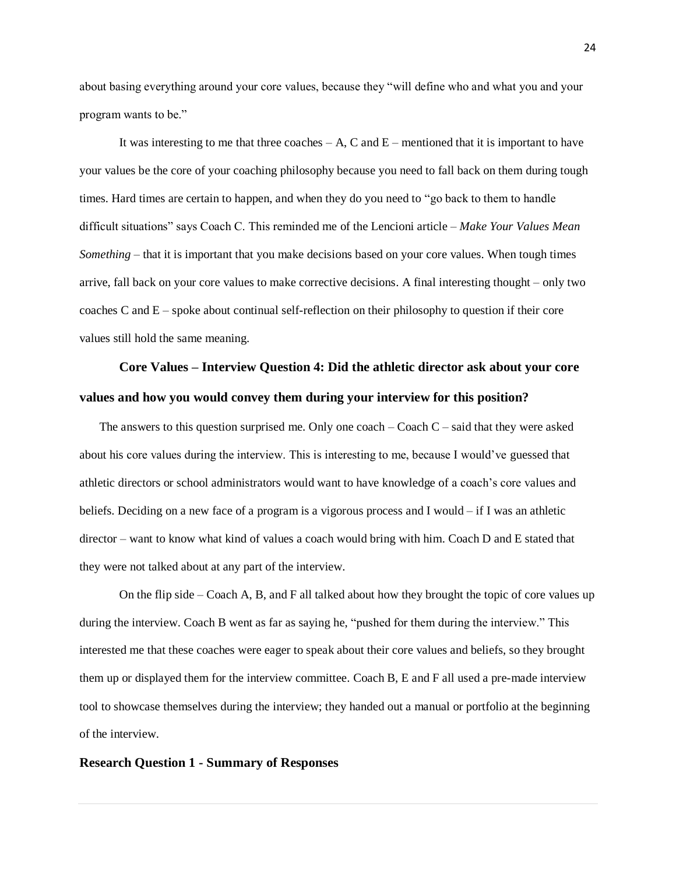about basing everything around your core values, because they "will define who and what you and your program wants to be."

It was interesting to me that three coaches  $- A$ , C and  $E$  – mentioned that it is important to have your values be the core of your coaching philosophy because you need to fall back on them during tough times. Hard times are certain to happen, and when they do you need to "go back to them to handle difficult situations" says Coach C. This reminded me of the Lencioni article – *Make Your Values Mean Something* – that it is important that you make decisions based on your core values. When tough times arrive, fall back on your core values to make corrective decisions. A final interesting thought – only two coaches C and  $E$  – spoke about continual self-reflection on their philosophy to question if their core values still hold the same meaning.

## **Core Values – Interview Question 4: Did the athletic director ask about your core values and how you would convey them during your interview for this position?**

The answers to this question surprised me. Only one coach  $-$  Coach  $C$  – said that they were asked about his core values during the interview. This is interesting to me, because I would've guessed that athletic directors or school administrators would want to have knowledge of a coach's core values and beliefs. Deciding on a new face of a program is a vigorous process and I would – if I was an athletic director – want to know what kind of values a coach would bring with him. Coach D and E stated that they were not talked about at any part of the interview.

On the flip side – Coach A, B, and F all talked about how they brought the topic of core values up during the interview. Coach B went as far as saying he, "pushed for them during the interview." This interested me that these coaches were eager to speak about their core values and beliefs, so they brought them up or displayed them for the interview committee. Coach B, E and F all used a pre-made interview tool to showcase themselves during the interview; they handed out a manual or portfolio at the beginning of the interview.

#### **Research Question 1 - Summary of Responses**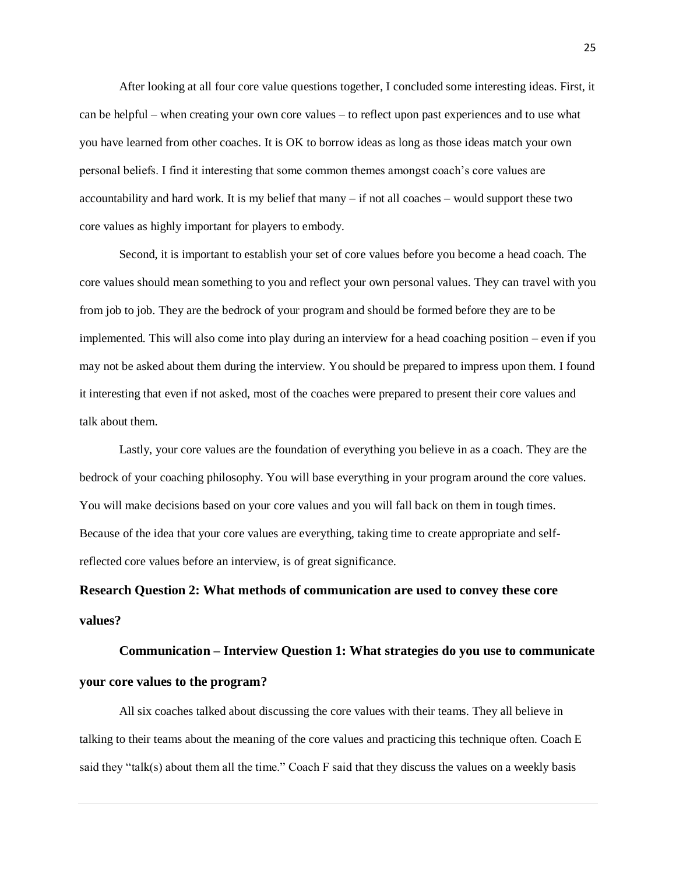After looking at all four core value questions together, I concluded some interesting ideas. First, it can be helpful – when creating your own core values – to reflect upon past experiences and to use what you have learned from other coaches. It is OK to borrow ideas as long as those ideas match your own personal beliefs. I find it interesting that some common themes amongst coach's core values are accountability and hard work. It is my belief that many – if not all coaches – would support these two core values as highly important for players to embody.

Second, it is important to establish your set of core values before you become a head coach. The core values should mean something to you and reflect your own personal values. They can travel with you from job to job. They are the bedrock of your program and should be formed before they are to be implemented. This will also come into play during an interview for a head coaching position – even if you may not be asked about them during the interview. You should be prepared to impress upon them. I found it interesting that even if not asked, most of the coaches were prepared to present their core values and talk about them.

Lastly, your core values are the foundation of everything you believe in as a coach. They are the bedrock of your coaching philosophy. You will base everything in your program around the core values. You will make decisions based on your core values and you will fall back on them in tough times. Because of the idea that your core values are everything, taking time to create appropriate and selfreflected core values before an interview, is of great significance.

## **Research Question 2: What methods of communication are used to convey these core values?**

**Communication – Interview Question 1: What strategies do you use to communicate your core values to the program?**

All six coaches talked about discussing the core values with their teams. They all believe in talking to their teams about the meaning of the core values and practicing this technique often. Coach E said they "talk(s) about them all the time." Coach F said that they discuss the values on a weekly basis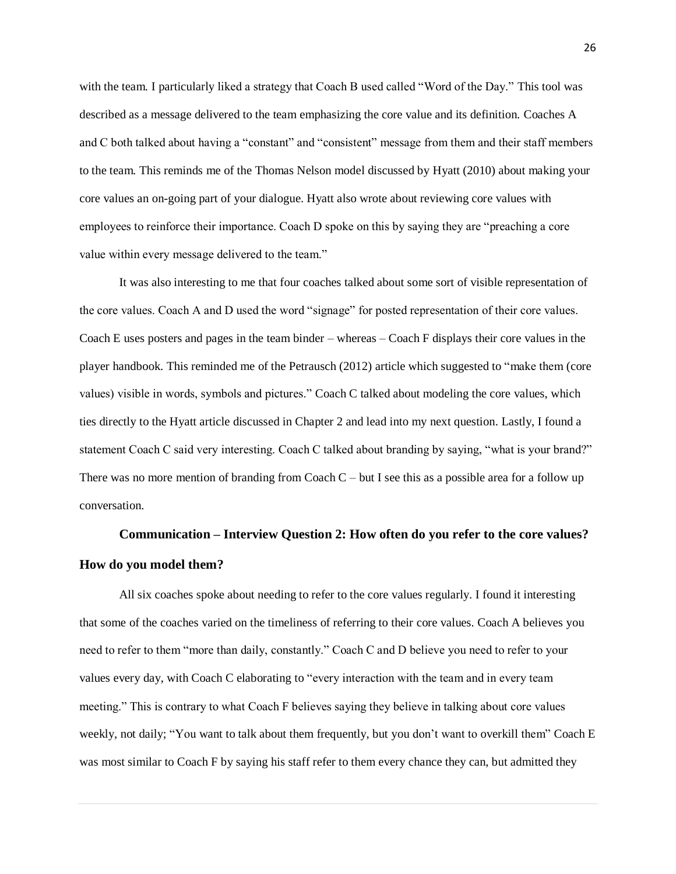with the team. I particularly liked a strategy that Coach B used called "Word of the Day." This tool was described as a message delivered to the team emphasizing the core value and its definition. Coaches A and C both talked about having a "constant" and "consistent" message from them and their staff members to the team. This reminds me of the Thomas Nelson model discussed by Hyatt (2010) about making your core values an on-going part of your dialogue. Hyatt also wrote about reviewing core values with employees to reinforce their importance. Coach D spoke on this by saying they are "preaching a core value within every message delivered to the team."

It was also interesting to me that four coaches talked about some sort of visible representation of the core values. Coach A and D used the word "signage" for posted representation of their core values. Coach E uses posters and pages in the team binder – whereas – Coach F displays their core values in the player handbook. This reminded me of the Petrausch (2012) article which suggested to "make them (core values) visible in words, symbols and pictures." Coach C talked about modeling the core values, which ties directly to the Hyatt article discussed in Chapter 2 and lead into my next question. Lastly, I found a statement Coach C said very interesting. Coach C talked about branding by saying, "what is your brand?" There was no more mention of branding from Coach  $C$  – but I see this as a possible area for a follow up conversation.

## **Communication – Interview Question 2: How often do you refer to the core values? How do you model them?**

All six coaches spoke about needing to refer to the core values regularly. I found it interesting that some of the coaches varied on the timeliness of referring to their core values. Coach A believes you need to refer to them "more than daily, constantly." Coach C and D believe you need to refer to your values every day, with Coach C elaborating to "every interaction with the team and in every team meeting." This is contrary to what Coach F believes saying they believe in talking about core values weekly, not daily; "You want to talk about them frequently, but you don't want to overkill them" Coach E was most similar to Coach F by saying his staff refer to them every chance they can, but admitted they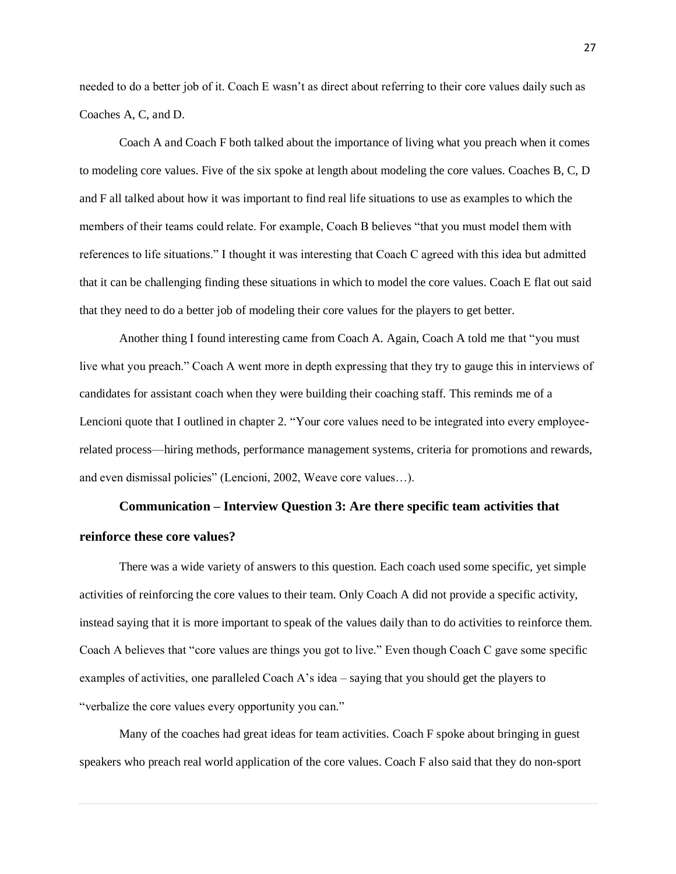needed to do a better job of it. Coach E wasn't as direct about referring to their core values daily such as Coaches A, C, and D.

Coach A and Coach F both talked about the importance of living what you preach when it comes to modeling core values. Five of the six spoke at length about modeling the core values. Coaches B, C, D and F all talked about how it was important to find real life situations to use as examples to which the members of their teams could relate. For example, Coach B believes "that you must model them with references to life situations." I thought it was interesting that Coach C agreed with this idea but admitted that it can be challenging finding these situations in which to model the core values. Coach E flat out said that they need to do a better job of modeling their core values for the players to get better.

Another thing I found interesting came from Coach A. Again, Coach A told me that "you must live what you preach." Coach A went more in depth expressing that they try to gauge this in interviews of candidates for assistant coach when they were building their coaching staff. This reminds me of a Lencioni quote that I outlined in chapter 2. "Your core values need to be integrated into every employeerelated process—hiring methods, performance management systems, criteria for promotions and rewards, and even dismissal policies" (Lencioni, 2002, Weave core values…).

## **Communication – Interview Question 3: Are there specific team activities that reinforce these core values?**

There was a wide variety of answers to this question. Each coach used some specific, yet simple activities of reinforcing the core values to their team. Only Coach A did not provide a specific activity, instead saying that it is more important to speak of the values daily than to do activities to reinforce them. Coach A believes that "core values are things you got to live." Even though Coach C gave some specific examples of activities, one paralleled Coach A's idea – saying that you should get the players to "verbalize the core values every opportunity you can."

Many of the coaches had great ideas for team activities. Coach F spoke about bringing in guest speakers who preach real world application of the core values. Coach F also said that they do non-sport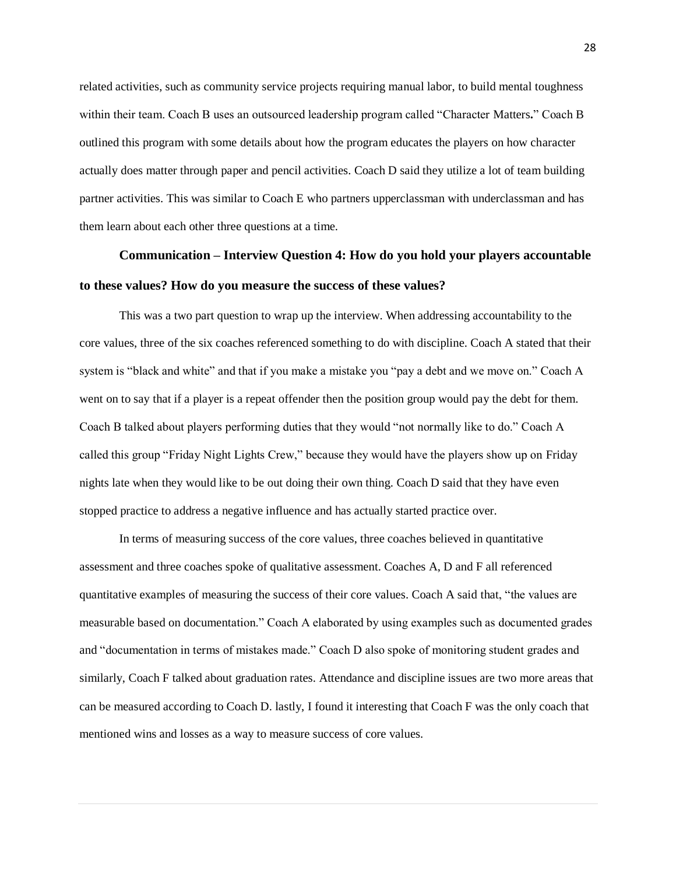related activities, such as community service projects requiring manual labor, to build mental toughness within their team. Coach B uses an outsourced leadership program called "Character Matters**.**" Coach B outlined this program with some details about how the program educates the players on how character actually does matter through paper and pencil activities. Coach D said they utilize a lot of team building partner activities. This was similar to Coach E who partners upperclassman with underclassman and has them learn about each other three questions at a time.

## **Communication – Interview Question 4: How do you hold your players accountable to these values? How do you measure the success of these values?**

This was a two part question to wrap up the interview. When addressing accountability to the core values, three of the six coaches referenced something to do with discipline. Coach A stated that their system is "black and white" and that if you make a mistake you "pay a debt and we move on." Coach A went on to say that if a player is a repeat offender then the position group would pay the debt for them. Coach B talked about players performing duties that they would "not normally like to do." Coach A called this group "Friday Night Lights Crew," because they would have the players show up on Friday nights late when they would like to be out doing their own thing. Coach D said that they have even stopped practice to address a negative influence and has actually started practice over.

In terms of measuring success of the core values, three coaches believed in quantitative assessment and three coaches spoke of qualitative assessment. Coaches A, D and F all referenced quantitative examples of measuring the success of their core values. Coach A said that, "the values are measurable based on documentation." Coach A elaborated by using examples such as documented grades and "documentation in terms of mistakes made." Coach D also spoke of monitoring student grades and similarly, Coach F talked about graduation rates. Attendance and discipline issues are two more areas that can be measured according to Coach D. lastly, I found it interesting that Coach F was the only coach that mentioned wins and losses as a way to measure success of core values.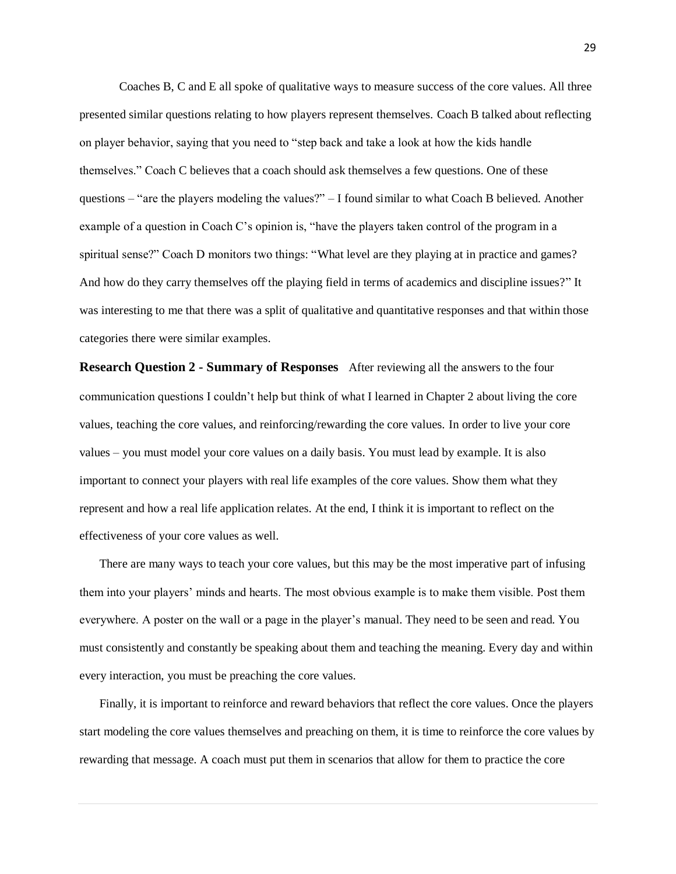Coaches B, C and E all spoke of qualitative ways to measure success of the core values. All three presented similar questions relating to how players represent themselves. Coach B talked about reflecting on player behavior, saying that you need to "step back and take a look at how the kids handle themselves." Coach C believes that a coach should ask themselves a few questions. One of these questions – "are the players modeling the values?" – I found similar to what Coach B believed. Another example of a question in Coach C's opinion is, "have the players taken control of the program in a spiritual sense?" Coach D monitors two things: "What level are they playing at in practice and games? And how do they carry themselves off the playing field in terms of academics and discipline issues?" It was interesting to me that there was a split of qualitative and quantitative responses and that within those categories there were similar examples.

**Research Question 2 - Summary of Responses** After reviewing all the answers to the four communication questions I couldn't help but think of what I learned in Chapter 2 about living the core values, teaching the core values, and reinforcing/rewarding the core values. In order to live your core values – you must model your core values on a daily basis. You must lead by example. It is also important to connect your players with real life examples of the core values. Show them what they represent and how a real life application relates. At the end, I think it is important to reflect on the effectiveness of your core values as well.

There are many ways to teach your core values, but this may be the most imperative part of infusing them into your players' minds and hearts. The most obvious example is to make them visible. Post them everywhere. A poster on the wall or a page in the player's manual. They need to be seen and read. You must consistently and constantly be speaking about them and teaching the meaning. Every day and within every interaction, you must be preaching the core values.

Finally, it is important to reinforce and reward behaviors that reflect the core values. Once the players start modeling the core values themselves and preaching on them, it is time to reinforce the core values by rewarding that message. A coach must put them in scenarios that allow for them to practice the core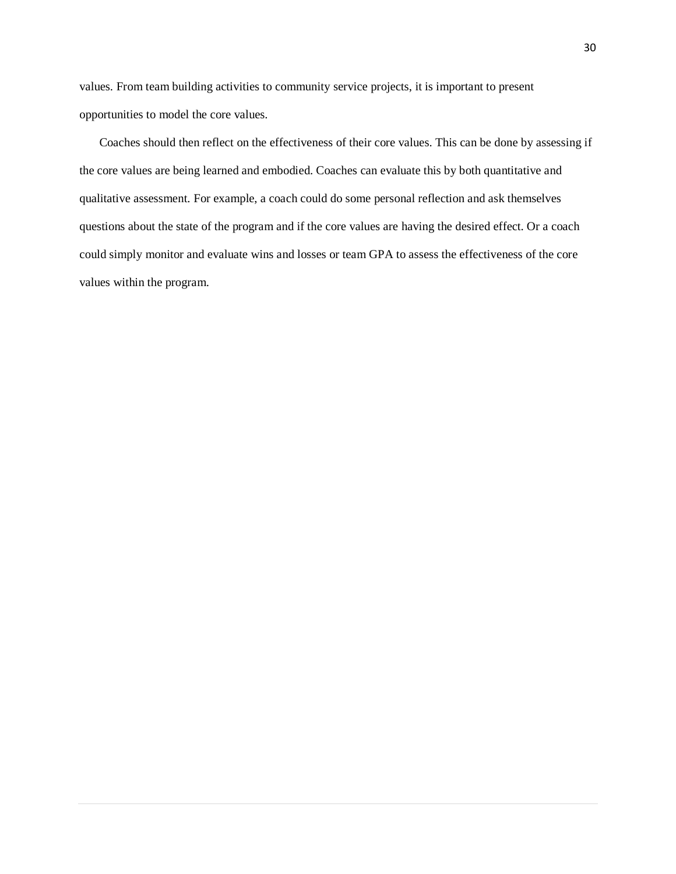values. From team building activities to community service projects, it is important to present opportunities to model the core values.

Coaches should then reflect on the effectiveness of their core values. This can be done by assessing if the core values are being learned and embodied. Coaches can evaluate this by both quantitative and qualitative assessment. For example, a coach could do some personal reflection and ask themselves questions about the state of the program and if the core values are having the desired effect. Or a coach could simply monitor and evaluate wins and losses or team GPA to assess the effectiveness of the core values within the program.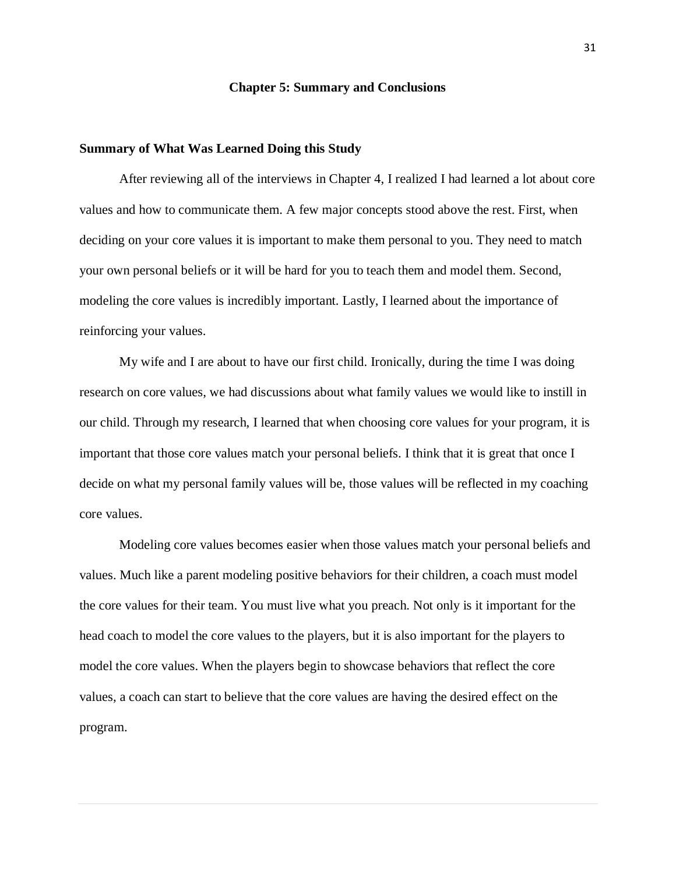#### **Chapter 5: Summary and Conclusions**

### **Summary of What Was Learned Doing this Study**

After reviewing all of the interviews in Chapter 4, I realized I had learned a lot about core values and how to communicate them. A few major concepts stood above the rest. First, when deciding on your core values it is important to make them personal to you. They need to match your own personal beliefs or it will be hard for you to teach them and model them. Second, modeling the core values is incredibly important. Lastly, I learned about the importance of reinforcing your values.

My wife and I are about to have our first child. Ironically, during the time I was doing research on core values, we had discussions about what family values we would like to instill in our child. Through my research, I learned that when choosing core values for your program, it is important that those core values match your personal beliefs. I think that it is great that once I decide on what my personal family values will be, those values will be reflected in my coaching core values.

Modeling core values becomes easier when those values match your personal beliefs and values. Much like a parent modeling positive behaviors for their children, a coach must model the core values for their team. You must live what you preach. Not only is it important for the head coach to model the core values to the players, but it is also important for the players to model the core values. When the players begin to showcase behaviors that reflect the core values, a coach can start to believe that the core values are having the desired effect on the program.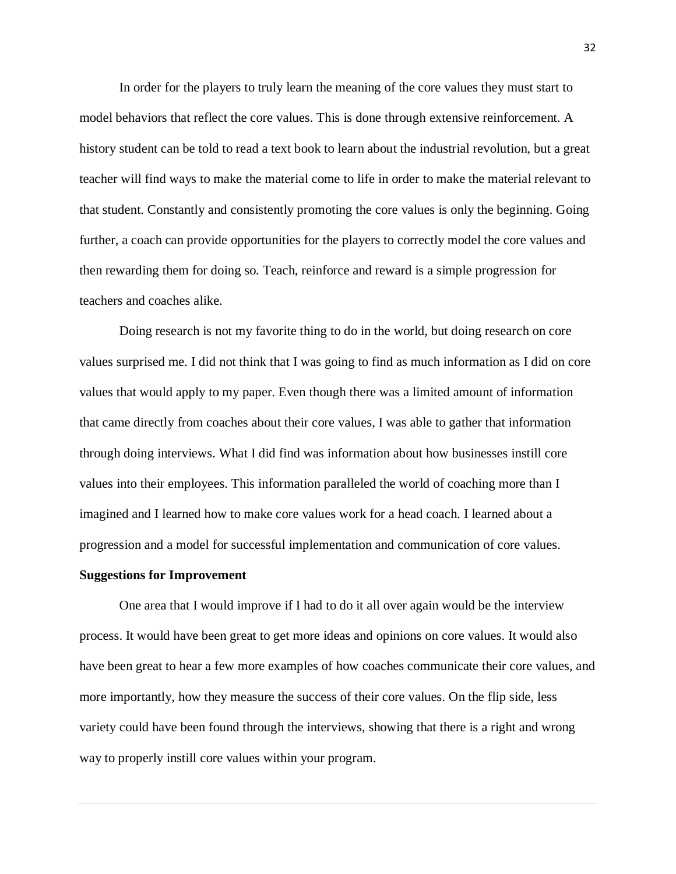In order for the players to truly learn the meaning of the core values they must start to model behaviors that reflect the core values. This is done through extensive reinforcement. A history student can be told to read a text book to learn about the industrial revolution, but a great teacher will find ways to make the material come to life in order to make the material relevant to that student. Constantly and consistently promoting the core values is only the beginning. Going further, a coach can provide opportunities for the players to correctly model the core values and then rewarding them for doing so. Teach, reinforce and reward is a simple progression for teachers and coaches alike.

Doing research is not my favorite thing to do in the world, but doing research on core values surprised me. I did not think that I was going to find as much information as I did on core values that would apply to my paper. Even though there was a limited amount of information that came directly from coaches about their core values, I was able to gather that information through doing interviews. What I did find was information about how businesses instill core values into their employees. This information paralleled the world of coaching more than I imagined and I learned how to make core values work for a head coach. I learned about a progression and a model for successful implementation and communication of core values.

#### **Suggestions for Improvement**

One area that I would improve if I had to do it all over again would be the interview process. It would have been great to get more ideas and opinions on core values. It would also have been great to hear a few more examples of how coaches communicate their core values, and more importantly, how they measure the success of their core values. On the flip side, less variety could have been found through the interviews, showing that there is a right and wrong way to properly instill core values within your program.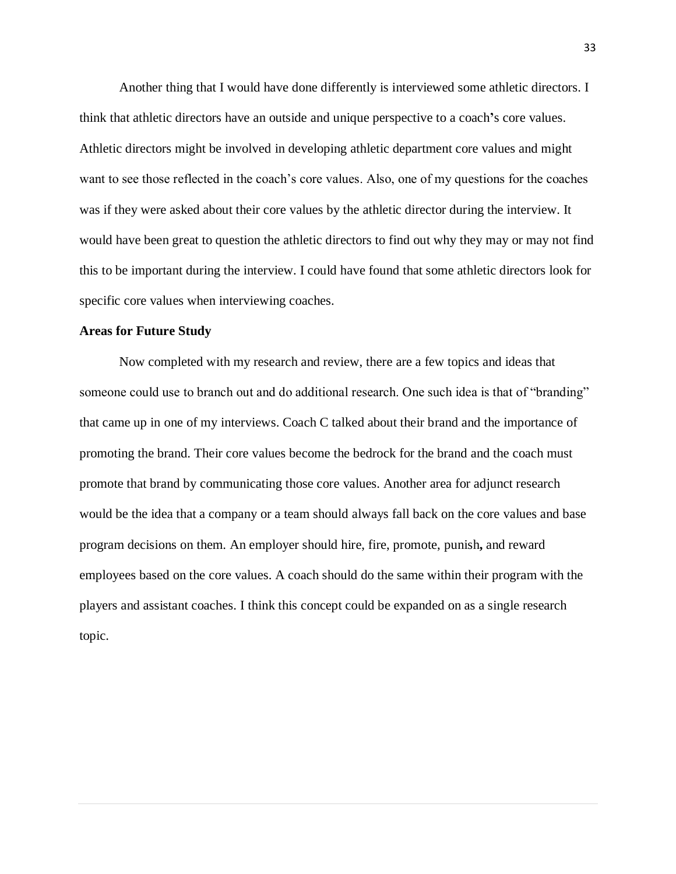Another thing that I would have done differently is interviewed some athletic directors. I think that athletic directors have an outside and unique perspective to a coach**'**s core values. Athletic directors might be involved in developing athletic department core values and might want to see those reflected in the coach's core values. Also, one of my questions for the coaches was if they were asked about their core values by the athletic director during the interview. It would have been great to question the athletic directors to find out why they may or may not find this to be important during the interview. I could have found that some athletic directors look for specific core values when interviewing coaches.

#### **Areas for Future Study**

Now completed with my research and review, there are a few topics and ideas that someone could use to branch out and do additional research. One such idea is that of "branding" that came up in one of my interviews. Coach C talked about their brand and the importance of promoting the brand. Their core values become the bedrock for the brand and the coach must promote that brand by communicating those core values. Another area for adjunct research would be the idea that a company or a team should always fall back on the core values and base program decisions on them. An employer should hire, fire, promote, punish**,** and reward employees based on the core values. A coach should do the same within their program with the players and assistant coaches. I think this concept could be expanded on as a single research topic.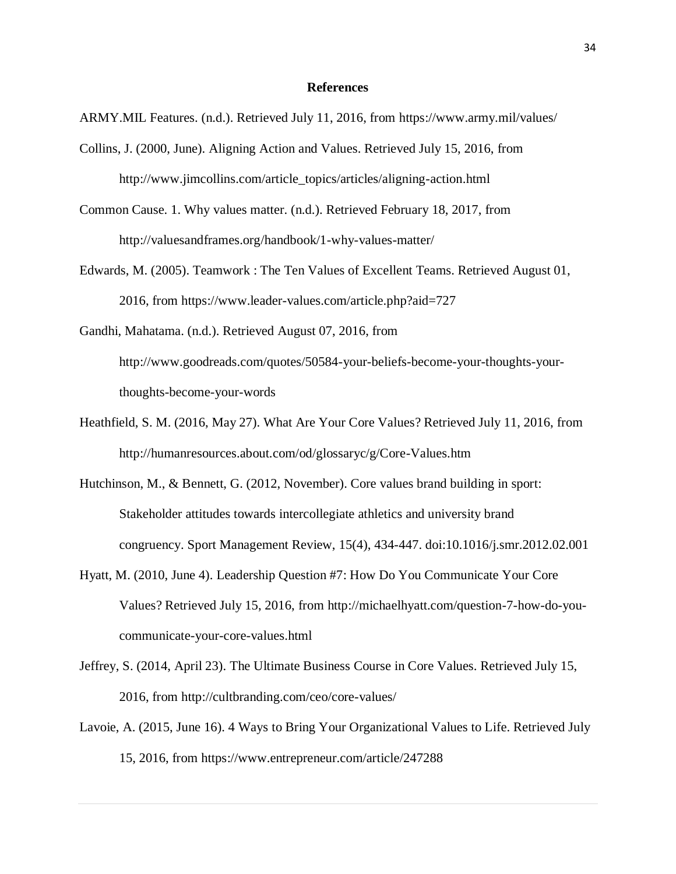#### **References**

ARMY.MIL Features. (n.d.). Retrieved July 11, 2016, from https://www.army.mil/values/

- Collins, J. (2000, June). Aligning Action and Values. Retrieved July 15, 2016, from http://www.jimcollins.com/article\_topics/articles/aligning-action.html
- Common Cause. 1. Why values matter. (n.d.). Retrieved February 18, 2017, from http://valuesandframes.org/handbook/1-why-values-matter/
- Edwards, M. (2005). Teamwork : The Ten Values of Excellent Teams. Retrieved August 01, 2016, from https://www.leader-values.com/article.php?aid=727
- Gandhi, Mahatama. (n.d.). Retrieved August 07, 2016, from [http://www.goodreads.com/quotes/50584-your-beliefs-become-your-thoughts-your](http://www.goodreads.com/quotes/50584-your-beliefs-become-your-thoughts-your-thoughts-become-your-words)[thoughts-become-your-words](http://www.goodreads.com/quotes/50584-your-beliefs-become-your-thoughts-your-thoughts-become-your-words)
- Heathfield, S. M. (2016, May 27). What Are Your Core Values? Retrieved July 11, 2016, from http://humanresources.about.com/od/glossaryc/g/Core-Values.htm
- Hutchinson, M., & Bennett, G. (2012, November). Core values brand building in sport: Stakeholder attitudes towards intercollegiate athletics and university brand congruency. Sport Management Review, 15(4), 434-447. doi:10.1016/j.smr.2012.02.001
- Hyatt, M. (2010, June 4). Leadership Question #7: How Do You Communicate Your Core Values? Retrieved July 15, 2016, from http://michaelhyatt.com/question-7-how-do-youcommunicate-your-core-values.html
- Jeffrey, S. (2014, April 23). The Ultimate Business Course in Core Values. Retrieved July 15, 2016, from http://cultbranding.com/ceo/core-values/
- Lavoie, A. (2015, June 16). 4 Ways to Bring Your Organizational Values to Life. Retrieved July 15, 2016, from<https://www.entrepreneur.com/article/247288>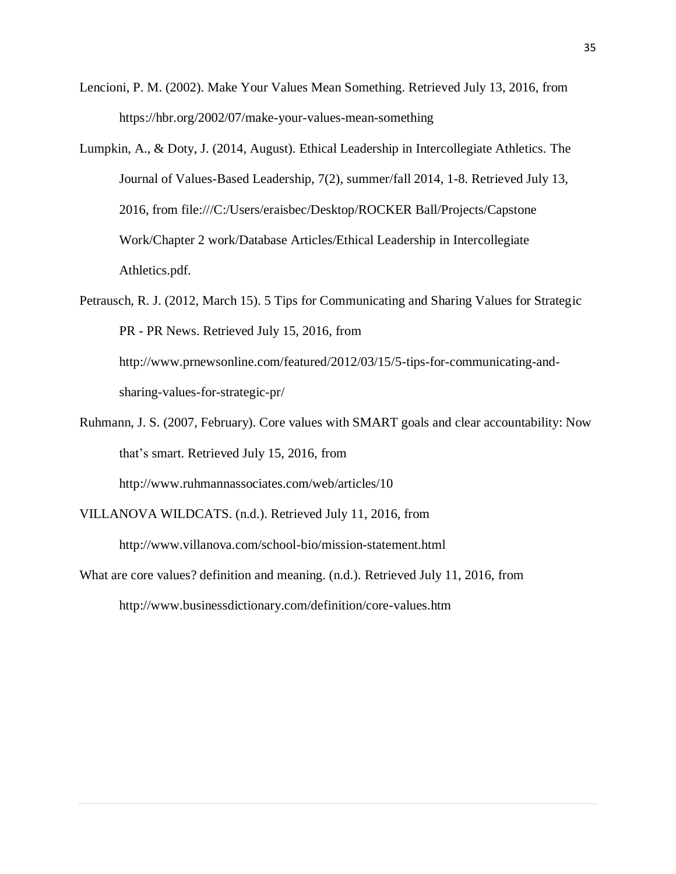- Lencioni, P. M. (2002). Make Your Values Mean Something. Retrieved July 13, 2016, from https://hbr.org/2002/07/make-your-values-mean-something
- Lumpkin, A., & Doty, J. (2014, August). Ethical Leadership in Intercollegiate Athletics. The Journal of Values-Based Leadership, 7(2), summer/fall 2014, 1-8. Retrieved July 13, 2016, from file:///C:/Users/eraisbec/Desktop/ROCKER Ball/Projects/Capstone Work/Chapter 2 work/Database Articles/Ethical Leadership in Intercollegiate Athletics.pdf.
- Petrausch, R. J. (2012, March 15). 5 Tips for Communicating and Sharing Values for Strategic PR - PR News. Retrieved July 15, 2016, from http://www.prnewsonline.com/featured/2012/03/15/5-tips-for-communicating-andsharing-values-for-strategic-pr/
- Ruhmann, J. S. (2007, February). Core values with SMART goals and clear accountability: Now that's smart. Retrieved July 15, 2016, from

http://www.ruhmannassociates.com/web/articles/10

VILLANOVA WILDCATS. (n.d.). Retrieved July 11, 2016, from

http://www.villanova.com/school-bio/mission-statement.html

What are core values? definition and meaning. (n.d.). Retrieved July 11, 2016, from

http://www.businessdictionary.com/definition/core-values.htm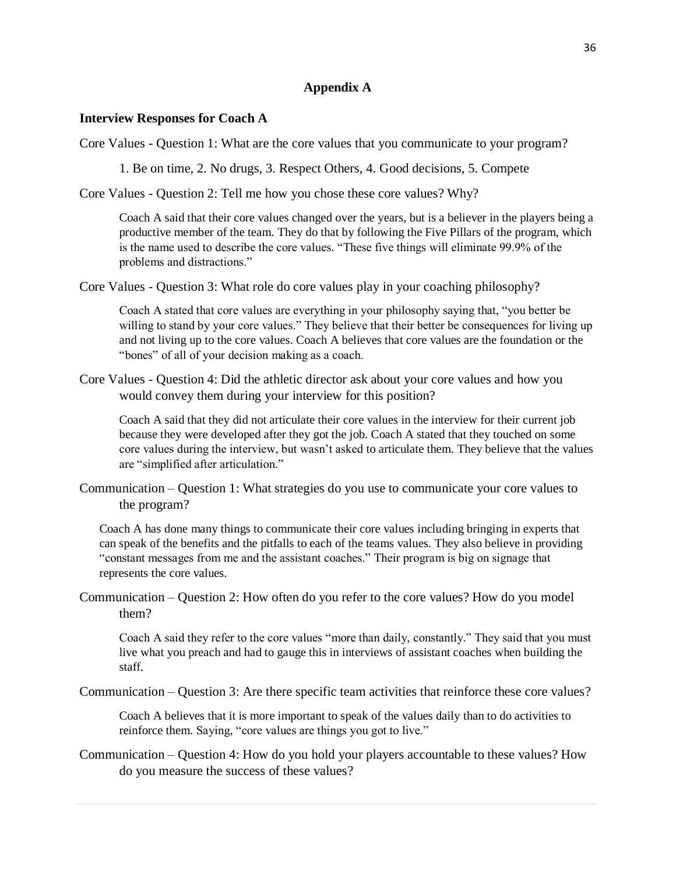## **Appendix A**

#### **Interview Responses for Coach A**

Core Values - Question 1: What are the core values that you communicate to your program?

1. Be on time, 2. No drugs, 3. Respect Others, 4. Good decisions, 5. Compete

Core Values - Question 2: Tell me how you chose these core values? Why?

Coach A said that their core values changed over the years, but is a believer in the players being a productive member of the team. They do that by following the Five Pillars of the program, which is the name used to describe the core values. "These five things will eliminate 99.9% of the problems and distractions."

Core Values - Question 3: What role do core values play in your coaching philosophy?

Coach A stated that core values are everything in your philosophy saying that, "you better be willing to stand by your core values." They believe that their better be consequences for living up and not living up to the core values. Coach A believes that core values are the foundation or the "bones" of all of your decision making as a coach.

Core Values - Question 4: Did the athletic director ask about your core values and how you would convey them during your interview for this position?

Coach A said that they did not articulate their core values in the interview for their current job because they were developed after they got the job. Coach A stated that they touched on some core values during the interview, but wasn't asked to articulate them. They believe that the values are "simplified after articulation."

Communication – Question 1: What strategies do you use to communicate your core values to the program?

Coach A has done many things to communicate their core values including bringing in experts that can speak of the benefits and the pitfalls to each of the teams values. They also believe in providing "constant messages from me and the assistant coaches." Their program is big on signage that represents the core values.

Communication – Question 2: How often do you refer to the core values? How do you model them?

Coach A said they refer to the core values "more than daily, constantly." They said that you must live what you preach and had to gauge this in interviews of assistant coaches when building the staff.

Communication – Question 3: Are there specific team activities that reinforce these core values?

Coach A believes that it is more important to speak of the values daily than to do activities to reinforce them. Saying, "core values are things you got to live."

Communication – Question 4: How do you hold your players accountable to these values? How do you measure the success of these values?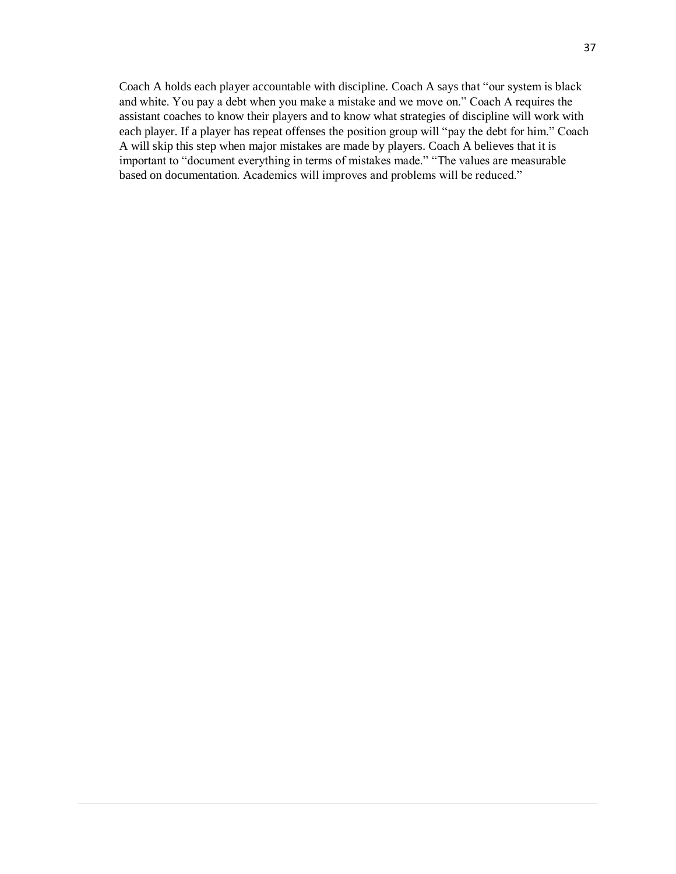Coach A holds each player accountable with discipline. Coach A says that "our system is black and white. You pay a debt when you make a mistake and we move on." Coach A requires the assistant coaches to know their players and to know what strategies of discipline will work with each player. If a player has repeat offenses the position group will "pay the debt for him." Coach A will skip this step when major mistakes are made by players. Coach A believes that it is important to "document everything in terms of mistakes made." "The values are measurable based on documentation. Academics will improves and problems will be reduced."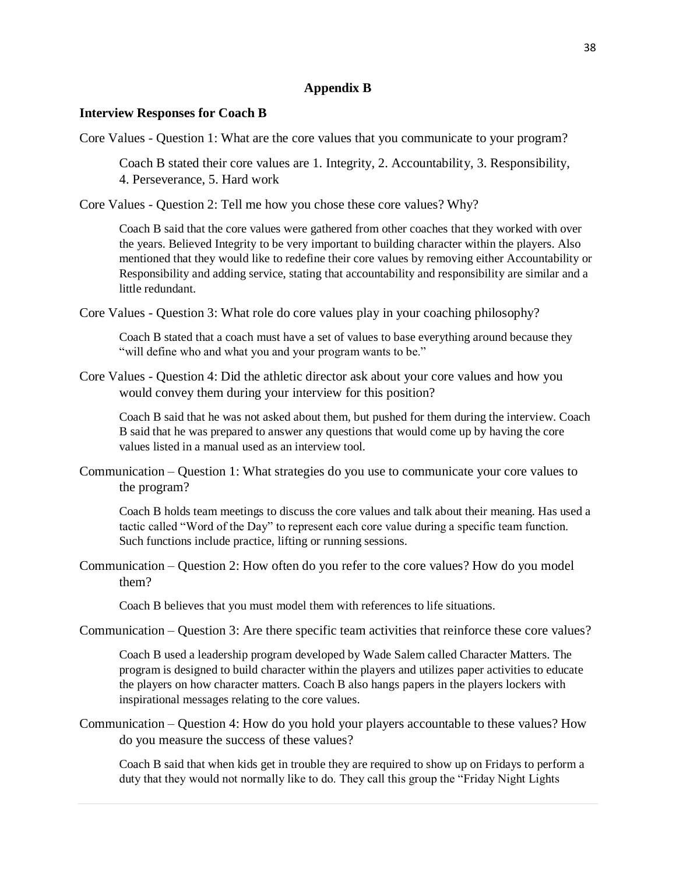## **Appendix B**

### **Interview Responses for Coach B**

Core Values - Question 1: What are the core values that you communicate to your program?

Coach B stated their core values are 1. Integrity, 2. Accountability, 3. Responsibility, 4. Perseverance, 5. Hard work

Core Values - Question 2: Tell me how you chose these core values? Why?

Coach B said that the core values were gathered from other coaches that they worked with over the years. Believed Integrity to be very important to building character within the players. Also mentioned that they would like to redefine their core values by removing either Accountability or Responsibility and adding service, stating that accountability and responsibility are similar and a little redundant.

Core Values - Question 3: What role do core values play in your coaching philosophy?

Coach B stated that a coach must have a set of values to base everything around because they "will define who and what you and your program wants to be."

Core Values - Question 4: Did the athletic director ask about your core values and how you would convey them during your interview for this position?

Coach B said that he was not asked about them, but pushed for them during the interview. Coach B said that he was prepared to answer any questions that would come up by having the core values listed in a manual used as an interview tool.

Communication – Question 1: What strategies do you use to communicate your core values to the program?

Coach B holds team meetings to discuss the core values and talk about their meaning. Has used a tactic called "Word of the Day" to represent each core value during a specific team function. Such functions include practice, lifting or running sessions.

Communication – Question 2: How often do you refer to the core values? How do you model them?

Coach B believes that you must model them with references to life situations.

Communication – Question 3: Are there specific team activities that reinforce these core values?

Coach B used a leadership program developed by Wade Salem called Character Matters. The program is designed to build character within the players and utilizes paper activities to educate the players on how character matters. Coach B also hangs papers in the players lockers with inspirational messages relating to the core values.

Communication – Question 4: How do you hold your players accountable to these values? How do you measure the success of these values?

Coach B said that when kids get in trouble they are required to show up on Fridays to perform a duty that they would not normally like to do. They call this group the "Friday Night Lights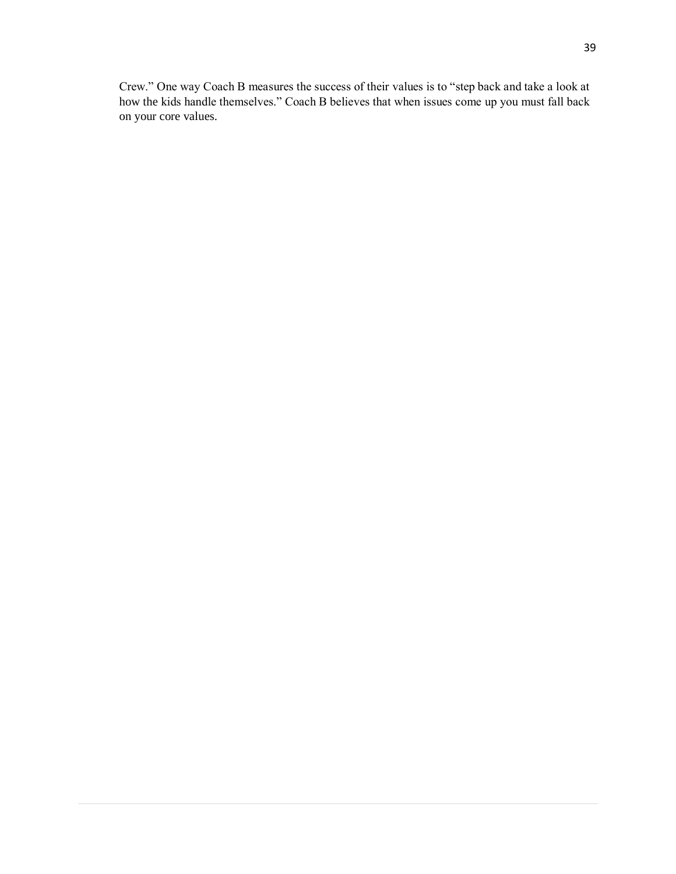Crew." One way Coach B measures the success of their values is to "step back and take a look at how the kids handle themselves." Coach B believes that when issues come up you must fall back on your core values.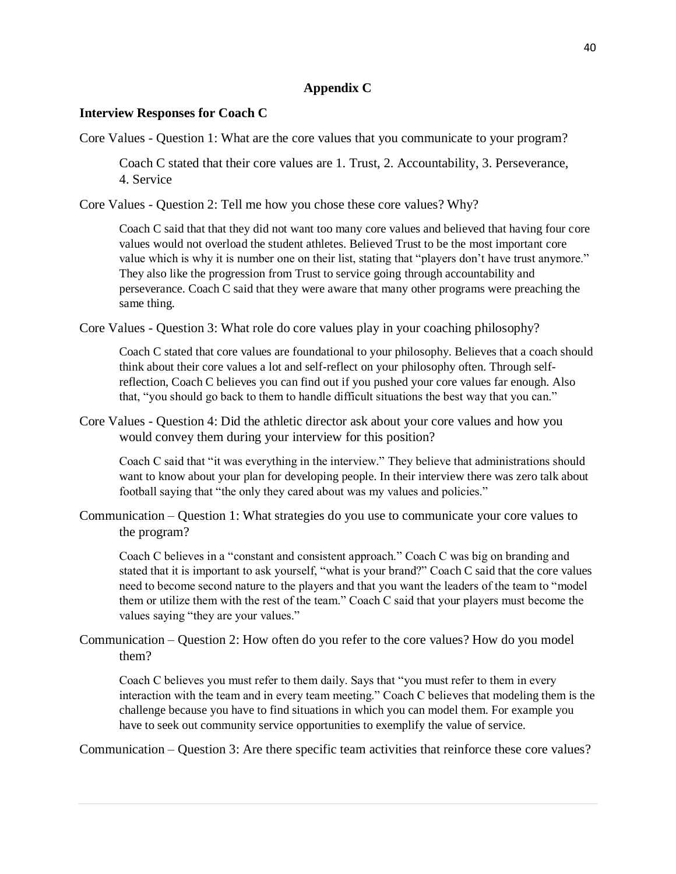## **Appendix C**

## **Interview Responses for Coach C**

Core Values - Question 1: What are the core values that you communicate to your program?

Coach C stated that their core values are 1. Trust, 2. Accountability, 3. Perseverance, 4. Service

Core Values - Question 2: Tell me how you chose these core values? Why?

Coach C said that that they did not want too many core values and believed that having four core values would not overload the student athletes. Believed Trust to be the most important core value which is why it is number one on their list, stating that "players don't have trust anymore." They also like the progression from Trust to service going through accountability and perseverance. Coach C said that they were aware that many other programs were preaching the same thing.

Core Values - Question 3: What role do core values play in your coaching philosophy?

Coach C stated that core values are foundational to your philosophy. Believes that a coach should think about their core values a lot and self-reflect on your philosophy often. Through selfreflection, Coach C believes you can find out if you pushed your core values far enough. Also that, "you should go back to them to handle difficult situations the best way that you can."

Core Values - Question 4: Did the athletic director ask about your core values and how you would convey them during your interview for this position?

Coach C said that "it was everything in the interview." They believe that administrations should want to know about your plan for developing people. In their interview there was zero talk about football saying that "the only they cared about was my values and policies."

Communication – Question 1: What strategies do you use to communicate your core values to the program?

Coach C believes in a "constant and consistent approach." Coach C was big on branding and stated that it is important to ask yourself, "what is your brand?" Coach C said that the core values need to become second nature to the players and that you want the leaders of the team to "model them or utilize them with the rest of the team." Coach C said that your players must become the values saying "they are your values."

Communication – Question 2: How often do you refer to the core values? How do you model them?

Coach C believes you must refer to them daily. Says that "you must refer to them in every interaction with the team and in every team meeting." Coach C believes that modeling them is the challenge because you have to find situations in which you can model them. For example you have to seek out community service opportunities to exemplify the value of service.

Communication – Question 3: Are there specific team activities that reinforce these core values?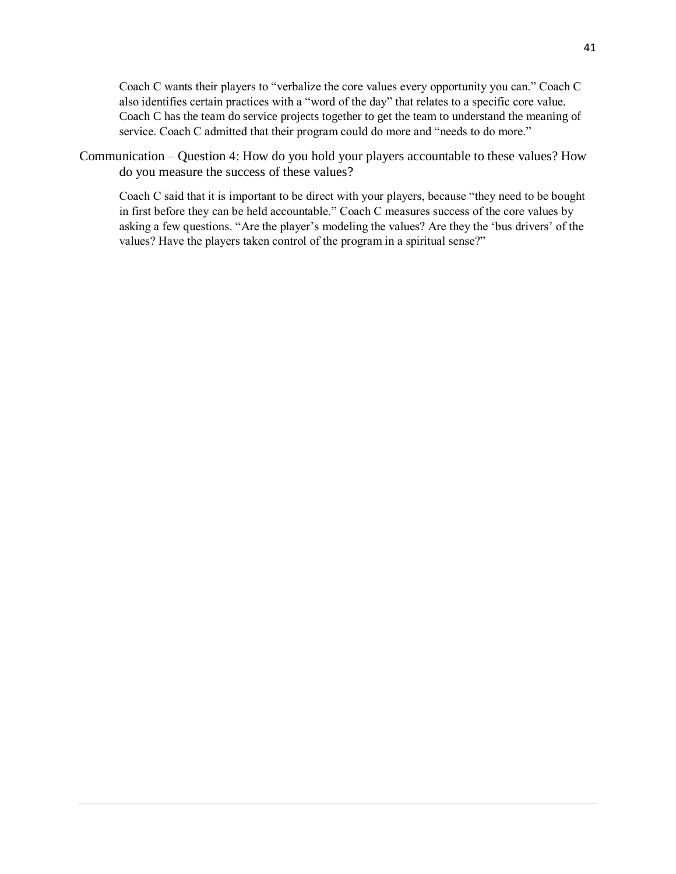Coach C wants their players to "verbalize the core values every opportunity you can." Coach C also identifies certain practices with a "word of the day" that relates to a specific core value. Coach C has the team do service projects together to get the team to understand the meaning of service. Coach C admitted that their program could do more and "needs to do more."

Communication – Question 4: How do you hold your players accountable to these values? How do you measure the success of these values?

Coach C said that it is important to be direct with your players, because "they need to be bought in first before they can be held accountable." Coach C measures success of the core values by asking a few questions. "Are the player's modeling the values? Are they the 'bus drivers' of the values? Have the players taken control of the program in a spiritual sense?"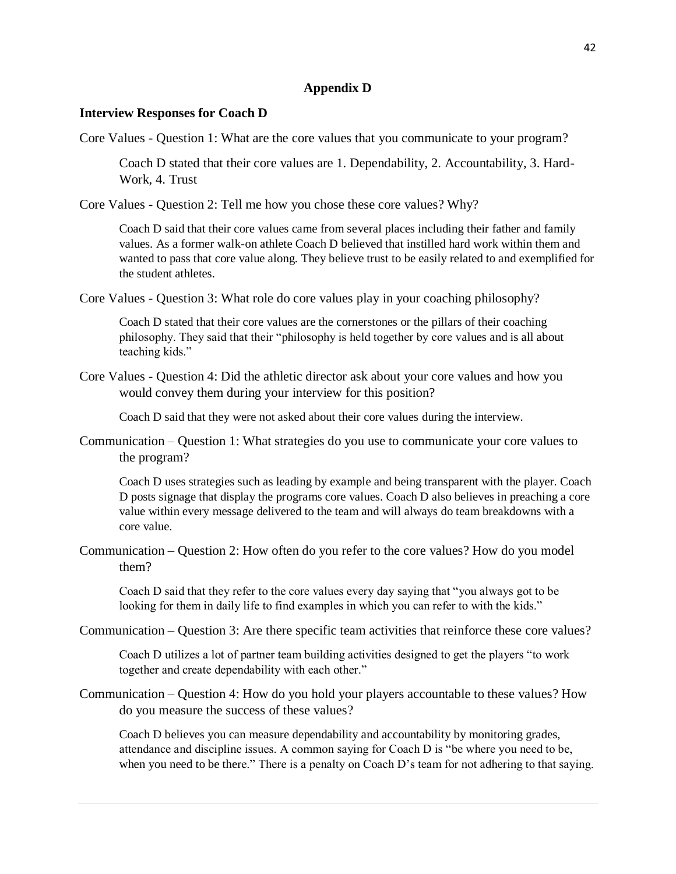## **Appendix D**

#### **Interview Responses for Coach D**

Core Values - Question 1: What are the core values that you communicate to your program?

Coach D stated that their core values are 1. Dependability, 2. Accountability, 3. Hard-Work, 4. Trust

Core Values - Question 2: Tell me how you chose these core values? Why?

Coach D said that their core values came from several places including their father and family values. As a former walk-on athlete Coach D believed that instilled hard work within them and wanted to pass that core value along. They believe trust to be easily related to and exemplified for the student athletes.

Core Values - Question 3: What role do core values play in your coaching philosophy?

Coach D stated that their core values are the cornerstones or the pillars of their coaching philosophy. They said that their "philosophy is held together by core values and is all about teaching kids."

Core Values - Question 4: Did the athletic director ask about your core values and how you would convey them during your interview for this position?

Coach D said that they were not asked about their core values during the interview.

Communication – Question 1: What strategies do you use to communicate your core values to the program?

Coach D uses strategies such as leading by example and being transparent with the player. Coach D posts signage that display the programs core values. Coach D also believes in preaching a core value within every message delivered to the team and will always do team breakdowns with a core value.

Communication – Question 2: How often do you refer to the core values? How do you model them?

Coach D said that they refer to the core values every day saying that "you always got to be looking for them in daily life to find examples in which you can refer to with the kids."

Communication – Question 3: Are there specific team activities that reinforce these core values?

Coach D utilizes a lot of partner team building activities designed to get the players "to work together and create dependability with each other."

Communication – Question 4: How do you hold your players accountable to these values? How do you measure the success of these values?

Coach D believes you can measure dependability and accountability by monitoring grades, attendance and discipline issues. A common saying for Coach D is "be where you need to be, when you need to be there." There is a penalty on Coach D's team for not adhering to that saying.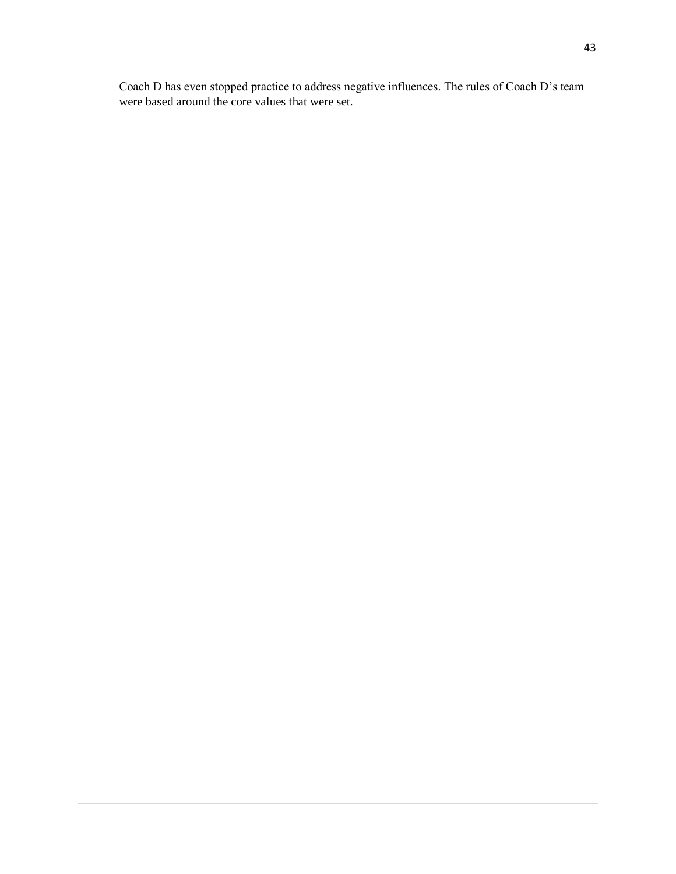Coach D has even stopped practice to address negative influences. The rules of Coach D's team were based around the core values that were set.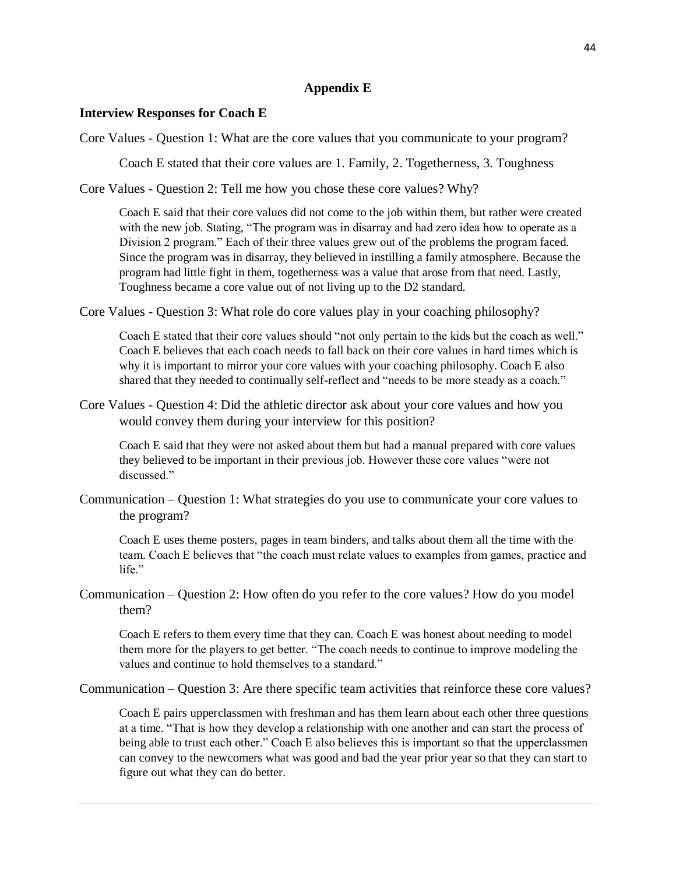## **Appendix E**

### **Interview Responses for Coach E**

Core Values - Question 1: What are the core values that you communicate to your program?

Coach E stated that their core values are 1. Family, 2. Togetherness, 3. Toughness

Core Values - Question 2: Tell me how you chose these core values? Why?

Coach E said that their core values did not come to the job within them, but rather were created with the new job. Stating, "The program was in disarray and had zero idea how to operate as a Division 2 program." Each of their three values grew out of the problems the program faced. Since the program was in disarray, they believed in instilling a family atmosphere. Because the program had little fight in them, togetherness was a value that arose from that need. Lastly, Toughness became a core value out of not living up to the D2 standard.

Core Values - Question 3: What role do core values play in your coaching philosophy?

Coach E stated that their core values should "not only pertain to the kids but the coach as well." Coach E believes that each coach needs to fall back on their core values in hard times which is why it is important to mirror your core values with your coaching philosophy. Coach E also shared that they needed to continually self-reflect and "needs to be more steady as a coach."

Core Values - Question 4: Did the athletic director ask about your core values and how you would convey them during your interview for this position?

Coach E said that they were not asked about them but had a manual prepared with core values they believed to be important in their previous job. However these core values "were not discussed."

Communication – Question 1: What strategies do you use to communicate your core values to the program?

Coach E uses theme posters, pages in team binders, and talks about them all the time with the team. Coach E believes that "the coach must relate values to examples from games, practice and life<sup>"</sup>

Communication – Question 2: How often do you refer to the core values? How do you model them?

Coach E refers to them every time that they can. Coach E was honest about needing to model them more for the players to get better. "The coach needs to continue to improve modeling the values and continue to hold themselves to a standard."

Communication – Question 3: Are there specific team activities that reinforce these core values?

Coach E pairs upperclassmen with freshman and has them learn about each other three questions at a time. "That is how they develop a relationship with one another and can start the process of being able to trust each other." Coach E also believes this is important so that the upperclassmen can convey to the newcomers what was good and bad the year prior year so that they can start to figure out what they can do better.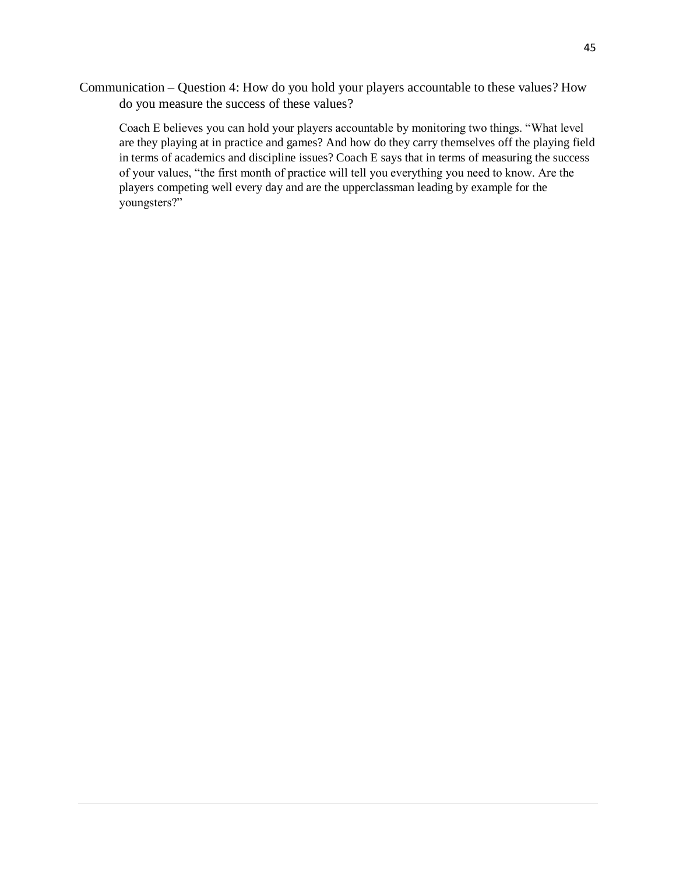Communication – Question 4: How do you hold your players accountable to these values? How do you measure the success of these values?

Coach E believes you can hold your players accountable by monitoring two things. "What level are they playing at in practice and games? And how do they carry themselves off the playing field in terms of academics and discipline issues? Coach E says that in terms of measuring the success of your values, "the first month of practice will tell you everything you need to know. Are the players competing well every day and are the upperclassman leading by example for the youngsters?"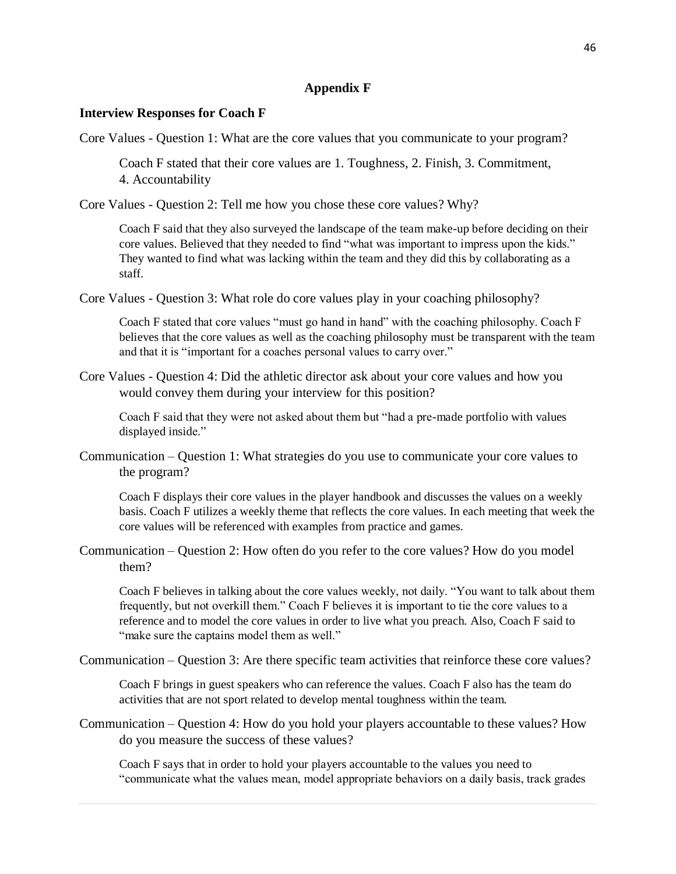## **Appendix F**

## **Interview Responses for Coach F**

Core Values - Question 1: What are the core values that you communicate to your program?

Coach F stated that their core values are 1. Toughness, 2. Finish, 3. Commitment, 4. Accountability

Core Values - Question 2: Tell me how you chose these core values? Why?

Coach F said that they also surveyed the landscape of the team make-up before deciding on their core values. Believed that they needed to find "what was important to impress upon the kids." They wanted to find what was lacking within the team and they did this by collaborating as a staff.

Core Values - Question 3: What role do core values play in your coaching philosophy?

Coach F stated that core values "must go hand in hand" with the coaching philosophy. Coach F believes that the core values as well as the coaching philosophy must be transparent with the team and that it is "important for a coaches personal values to carry over."

Core Values - Question 4: Did the athletic director ask about your core values and how you would convey them during your interview for this position?

Coach F said that they were not asked about them but "had a pre-made portfolio with values displayed inside."

Communication – Question 1: What strategies do you use to communicate your core values to the program?

Coach F displays their core values in the player handbook and discusses the values on a weekly basis. Coach F utilizes a weekly theme that reflects the core values. In each meeting that week the core values will be referenced with examples from practice and games.

Communication – Question 2: How often do you refer to the core values? How do you model them?

Coach F believes in talking about the core values weekly, not daily. "You want to talk about them frequently, but not overkill them." Coach F believes it is important to tie the core values to a reference and to model the core values in order to live what you preach. Also, Coach F said to "make sure the captains model them as well."

Communication – Question 3: Are there specific team activities that reinforce these core values?

Coach F brings in guest speakers who can reference the values. Coach F also has the team do activities that are not sport related to develop mental toughness within the team.

Communication – Question 4: How do you hold your players accountable to these values? How do you measure the success of these values?

Coach F says that in order to hold your players accountable to the values you need to "communicate what the values mean, model appropriate behaviors on a daily basis, track grades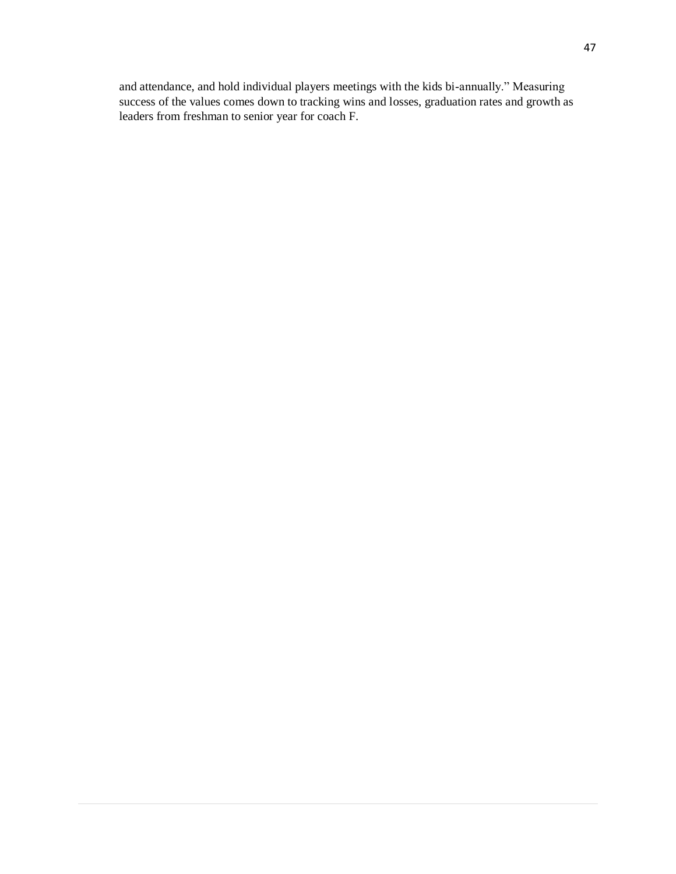and attendance, and hold individual players meetings with the kids bi-annually." Measuring success of the values comes down to tracking wins and losses, graduation rates and growth as leaders from freshman to senior year for coach F.